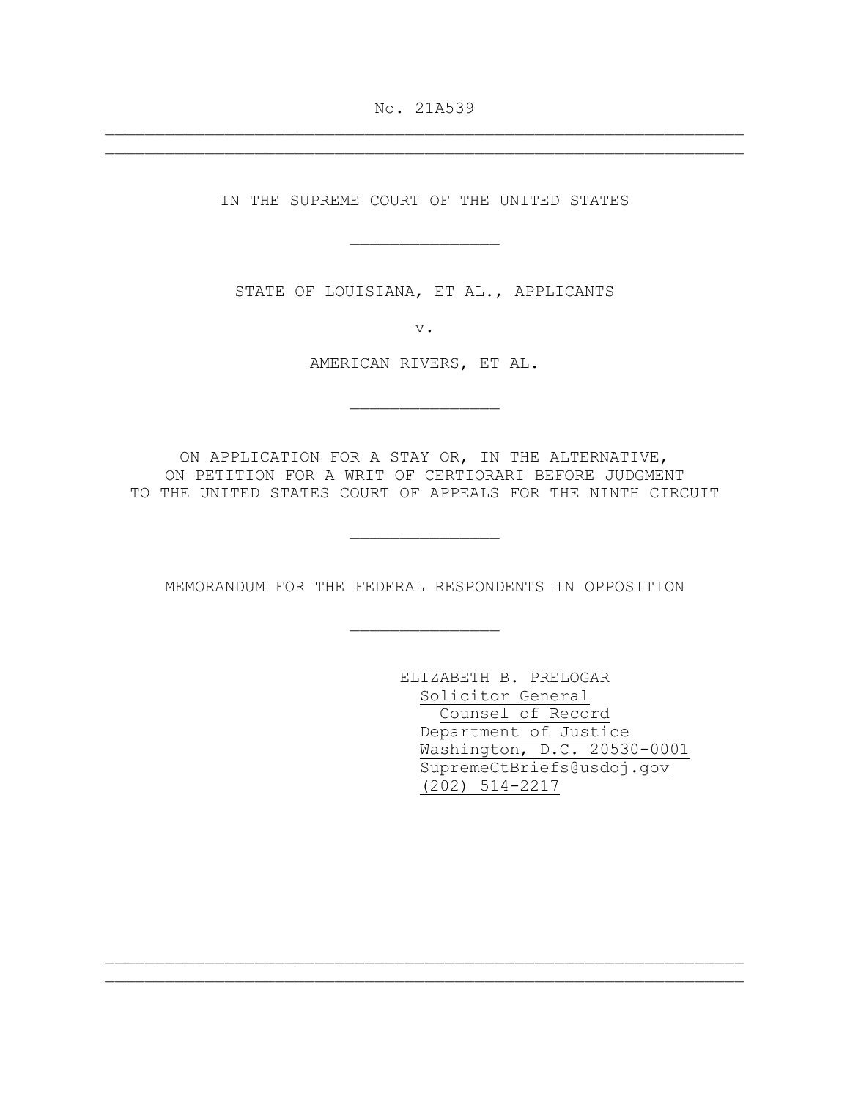No. 21A539

IN THE SUPREME COURT OF THE UNITED STATES

\_\_\_\_\_\_\_\_\_\_\_\_\_\_\_

STATE OF LOUISIANA, ET AL., APPLICANTS

v.

AMERICAN RIVERS, ET AL.

ON APPLICATION FOR A STAY OR, IN THE ALTERNATIVE, ON PETITION FOR A WRIT OF CERTIORARI BEFORE JUDGMENT TO THE UNITED STATES COURT OF APPEALS FOR THE NINTH CIRCUIT

MEMORANDUM FOR THE FEDERAL RESPONDENTS IN OPPOSITION

 $\frac{1}{2}$  ,  $\frac{1}{2}$  ,  $\frac{1}{2}$  ,  $\frac{1}{2}$  ,  $\frac{1}{2}$  ,  $\frac{1}{2}$  ,  $\frac{1}{2}$  ,  $\frac{1}{2}$  ,  $\frac{1}{2}$  ,  $\frac{1}{2}$  ,  $\frac{1}{2}$  ,  $\frac{1}{2}$  ,  $\frac{1}{2}$  ,  $\frac{1}{2}$  ,  $\frac{1}{2}$  ,  $\frac{1}{2}$  ,  $\frac{1}{2}$  ,  $\frac{1}{2}$  ,  $\frac{1$ 

ELIZABETH B. PRELOGAR Solicitor General Counsel of Record Department of Justice Washington, D.C. 20530-0001 SupremeCtBriefs@usdoj.gov (202) 514-2217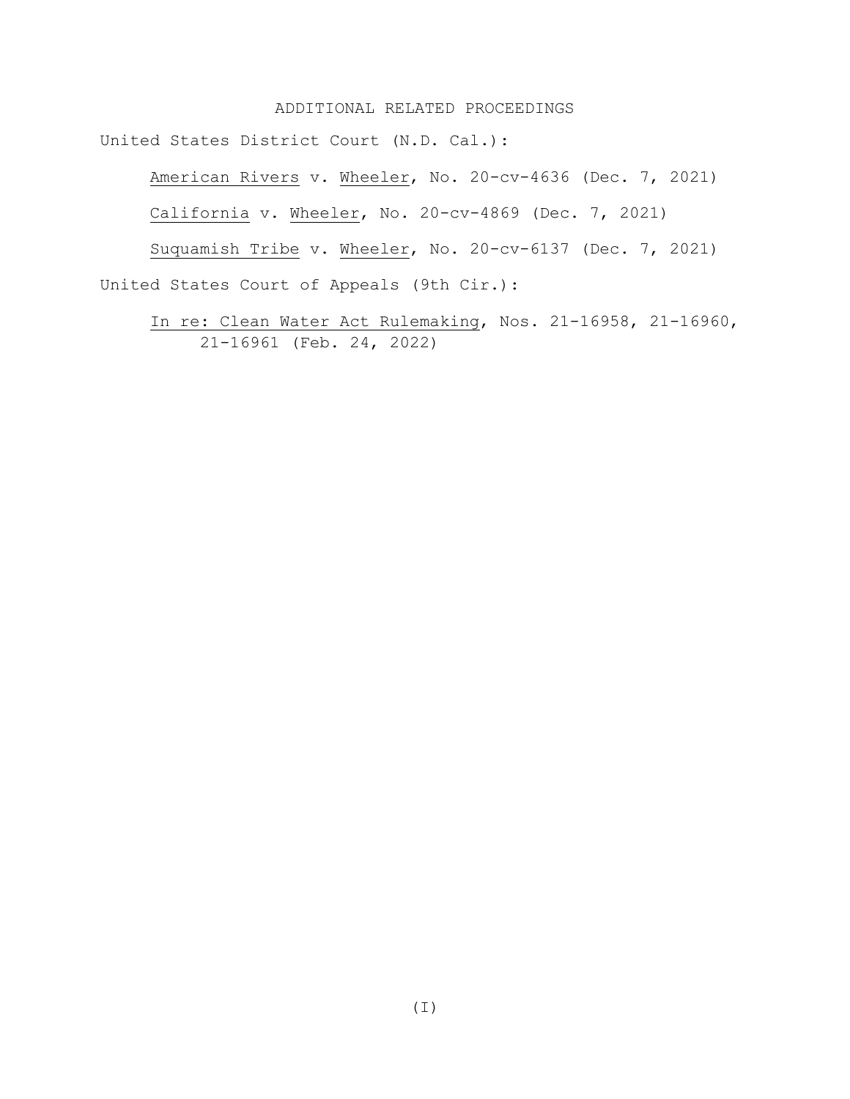### ADDITIONAL RELATED PROCEEDINGS

United States District Court (N.D. Cal.):

American Rivers v. Wheeler, No. 20-cv-4636 (Dec. 7, 2021)

California v. Wheeler, No. 20-cv-4869 (Dec. 7, 2021)

Suquamish Tribe v. Wheeler, No. 20-cv-6137 (Dec. 7, 2021) United States Court of Appeals (9th Cir.):

In re: Clean Water Act Rulemaking, Nos. 21-16958, 21-16960, 21-16961 (Feb. 24, 2022)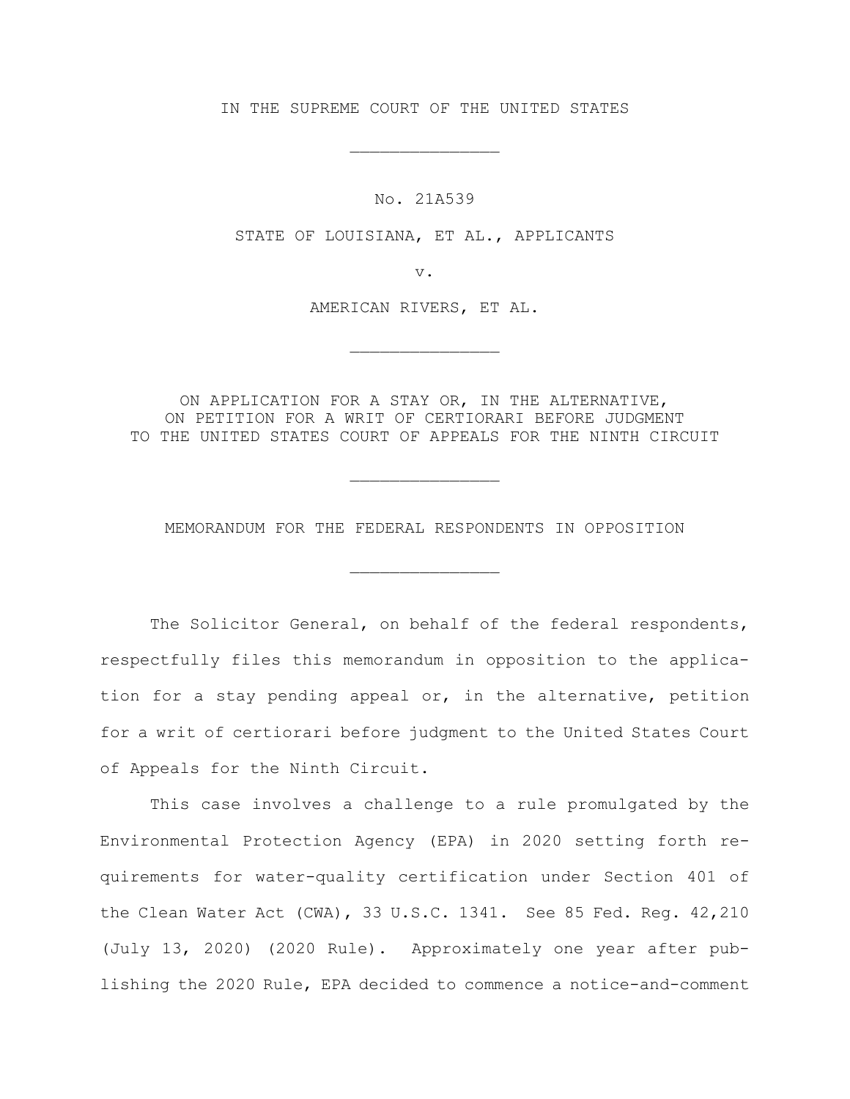IN THE SUPREME COURT OF THE UNITED STATES

No. 21A539

STATE OF LOUISIANA, ET AL., APPLICANTS

v.

AMERICAN RIVERS, ET AL.

ON APPLICATION FOR A STAY OR, IN THE ALTERNATIVE, ON PETITION FOR A WRIT OF CERTIORARI BEFORE JUDGMENT TO THE UNITED STATES COURT OF APPEALS FOR THE NINTH CIRCUIT

MEMORANDUM FOR THE FEDERAL RESPONDENTS IN OPPOSITION

The Solicitor General, on behalf of the federal respondents, respectfully files this memorandum in opposition to the application for a stay pending appeal or, in the alternative, petition for a writ of certiorari before judgment to the United States Court of Appeals for the Ninth Circuit.

This case involves a challenge to a rule promulgated by the Environmental Protection Agency (EPA) in 2020 setting forth requirements for water-quality certification under Section 401 of the Clean Water Act (CWA), 33 U.S.C. 1341. See 85 Fed. Reg. 42,210 (July 13, 2020) (2020 Rule). Approximately one year after publishing the 2020 Rule, EPA decided to commence a notice-and-comment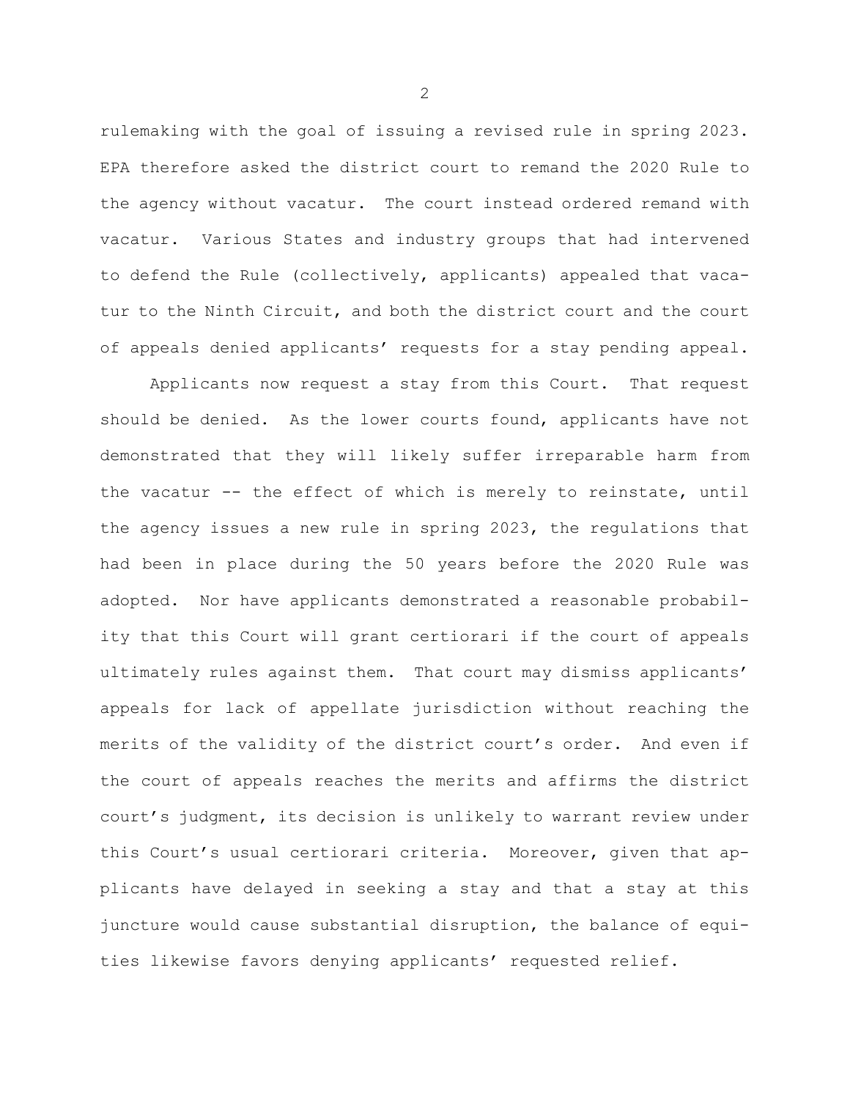rulemaking with the goal of issuing a revised rule in spring 2023. EPA therefore asked the district court to remand the 2020 Rule to the agency without vacatur. The court instead ordered remand with vacatur. Various States and industry groups that had intervened to defend the Rule (collectively, applicants) appealed that vacatur to the Ninth Circuit, and both the district court and the court of appeals denied applicants' requests for a stay pending appeal.

Applicants now request a stay from this Court. That request should be denied. As the lower courts found, applicants have not demonstrated that they will likely suffer irreparable harm from the vacatur -- the effect of which is merely to reinstate, until the agency issues a new rule in spring 2023, the regulations that had been in place during the 50 years before the 2020 Rule was adopted. Nor have applicants demonstrated a reasonable probability that this Court will grant certiorari if the court of appeals ultimately rules against them. That court may dismiss applicants' appeals for lack of appellate jurisdiction without reaching the merits of the validity of the district court's order. And even if the court of appeals reaches the merits and affirms the district court's judgment, its decision is unlikely to warrant review under this Court's usual certiorari criteria. Moreover, given that applicants have delayed in seeking a stay and that a stay at this juncture would cause substantial disruption, the balance of equities likewise favors denying applicants' requested relief.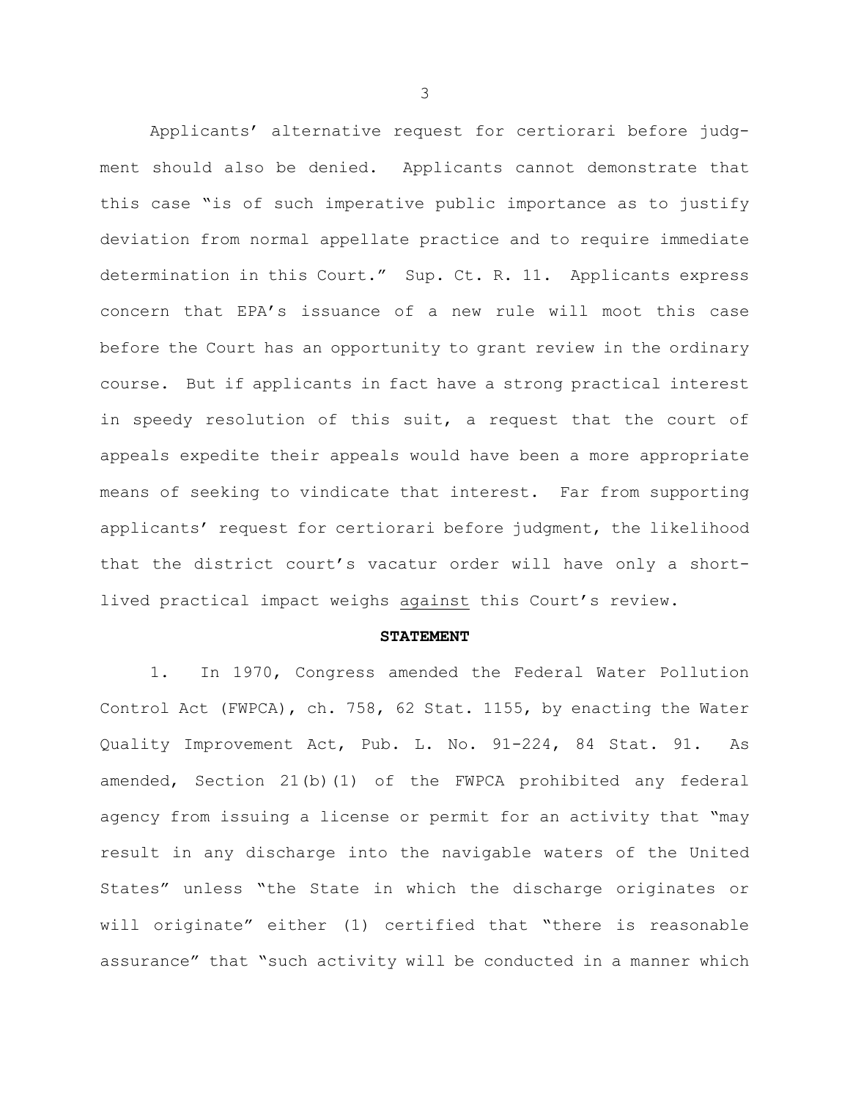Applicants' alternative request for certiorari before judgment should also be denied. Applicants cannot demonstrate that this case "is of such imperative public importance as to justify deviation from normal appellate practice and to require immediate determination in this Court." Sup. Ct. R. 11. Applicants express concern that EPA's issuance of a new rule will moot this case before the Court has an opportunity to grant review in the ordinary course. But if applicants in fact have a strong practical interest in speedy resolution of this suit, a request that the court of appeals expedite their appeals would have been a more appropriate means of seeking to vindicate that interest. Far from supporting applicants' request for certiorari before judgment, the likelihood that the district court's vacatur order will have only a shortlived practical impact weighs against this Court's review.

#### **STATEMENT**

1. In 1970, Congress amended the Federal Water Pollution Control Act (FWPCA), ch. 758, 62 Stat. 1155, by enacting the Water Quality Improvement Act, Pub. L. No. 91-224, 84 Stat. 91. As amended, Section 21(b)(1) of the FWPCA prohibited any federal agency from issuing a license or permit for an activity that "may result in any discharge into the navigable waters of the United States" unless "the State in which the discharge originates or will originate" either (1) certified that "there is reasonable assurance" that "such activity will be conducted in a manner which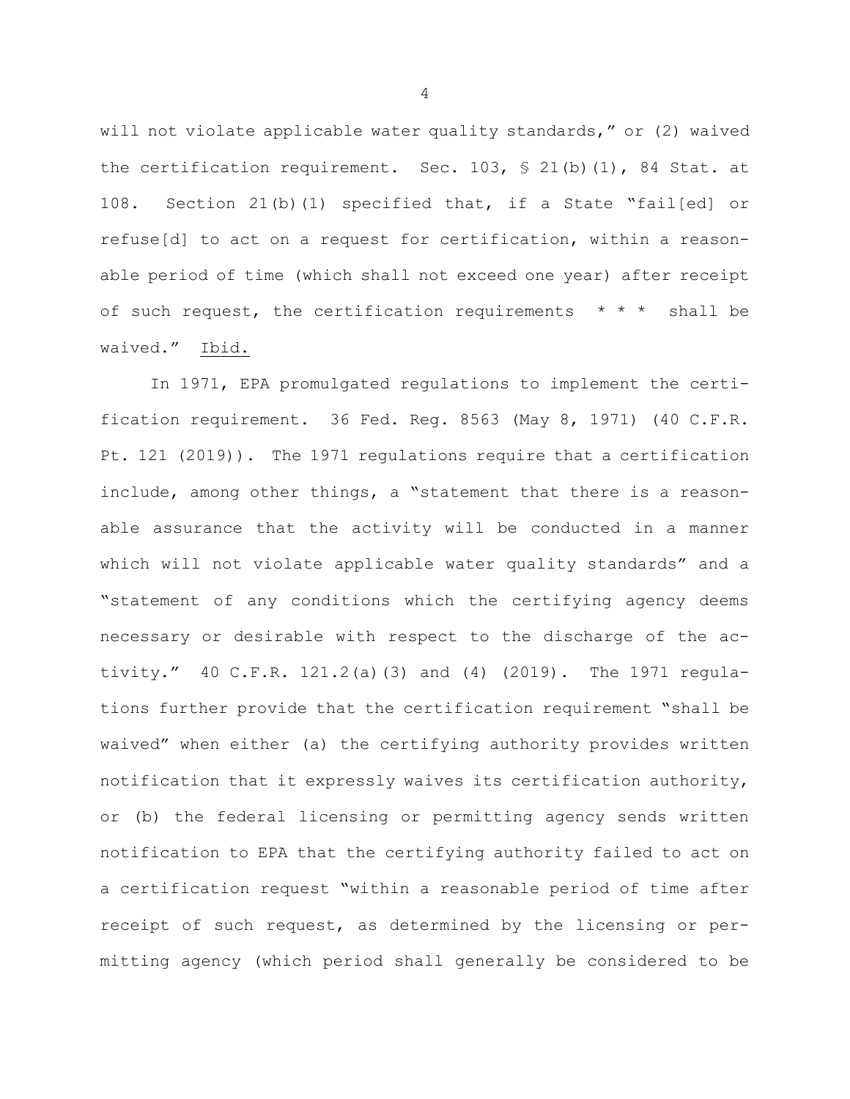will not violate applicable water quality standards," or (2) waived the certification requirement. Sec. 103, § 21(b)(1), 84 Stat. at 108. Section 21(b)(1) specified that, if a State "fail[ed] or refuse[d] to act on a request for certification, within a reasonable period of time (which shall not exceed one year) after receipt of such request, the certification requirements  $* * *$  shall be waived." Ibid.

In 1971, EPA promulgated regulations to implement the certification requirement. 36 Fed. Reg. 8563 (May 8, 1971) (40 C.F.R. Pt. 121 (2019)). The 1971 regulations require that a certification include, among other things, a "statement that there is a reasonable assurance that the activity will be conducted in a manner which will not violate applicable water quality standards" and a "statement of any conditions which the certifying agency deems necessary or desirable with respect to the discharge of the activity." 40 C.F.R. 121.2(a)(3) and (4) (2019). The 1971 regulations further provide that the certification requirement "shall be waived" when either (a) the certifying authority provides written notification that it expressly waives its certification authority, or (b) the federal licensing or permitting agency sends written notification to EPA that the certifying authority failed to act on a certification request "within a reasonable period of time after receipt of such request, as determined by the licensing or permitting agency (which period shall generally be considered to be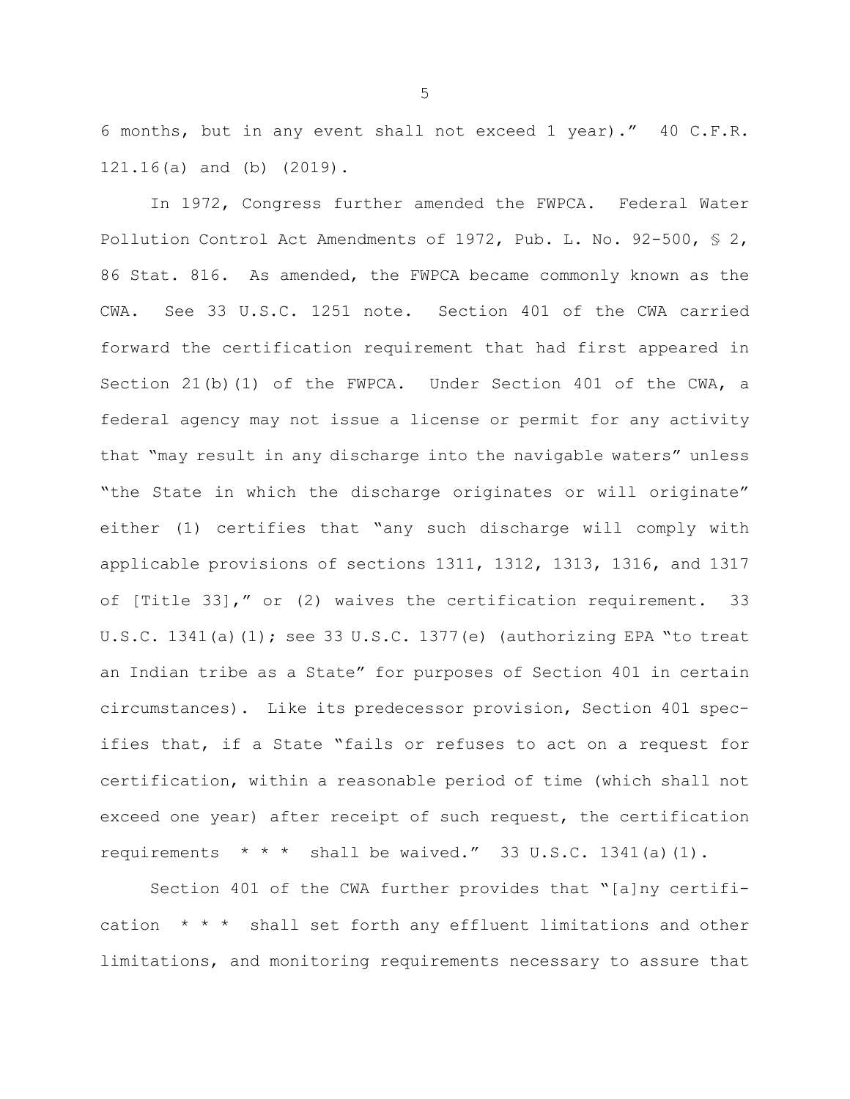6 months, but in any event shall not exceed 1 year)." 40 C.F.R. 121.16(a) and (b) (2019).

In 1972, Congress further amended the FWPCA. Federal Water Pollution Control Act Amendments of 1972, Pub. L. No. 92-500, § 2, 86 Stat. 816. As amended, the FWPCA became commonly known as the CWA. See 33 U.S.C. 1251 note. Section 401 of the CWA carried forward the certification requirement that had first appeared in Section 21(b)(1) of the FWPCA. Under Section 401 of the CWA, a federal agency may not issue a license or permit for any activity that "may result in any discharge into the navigable waters" unless "the State in which the discharge originates or will originate" either (1) certifies that "any such discharge will comply with applicable provisions of sections 1311, 1312, 1313, 1316, and 1317 of [Title 33]," or (2) waives the certification requirement. 33 U.S.C. 1341(a) $(1)$ ; see 33 U.S.C. 1377(e) (authorizing EPA "to treat an Indian tribe as a State" for purposes of Section 401 in certain circumstances). Like its predecessor provision, Section 401 specifies that, if a State "fails or refuses to act on a request for certification, within a reasonable period of time (which shall not exceed one year) after receipt of such request, the certification requirements  $* * *$  shall be waived." 33 U.S.C. 1341(a)(1).

Section 401 of the CWA further provides that "[a]ny certification  $* * *$  shall set forth any effluent limitations and other limitations, and monitoring requirements necessary to assure that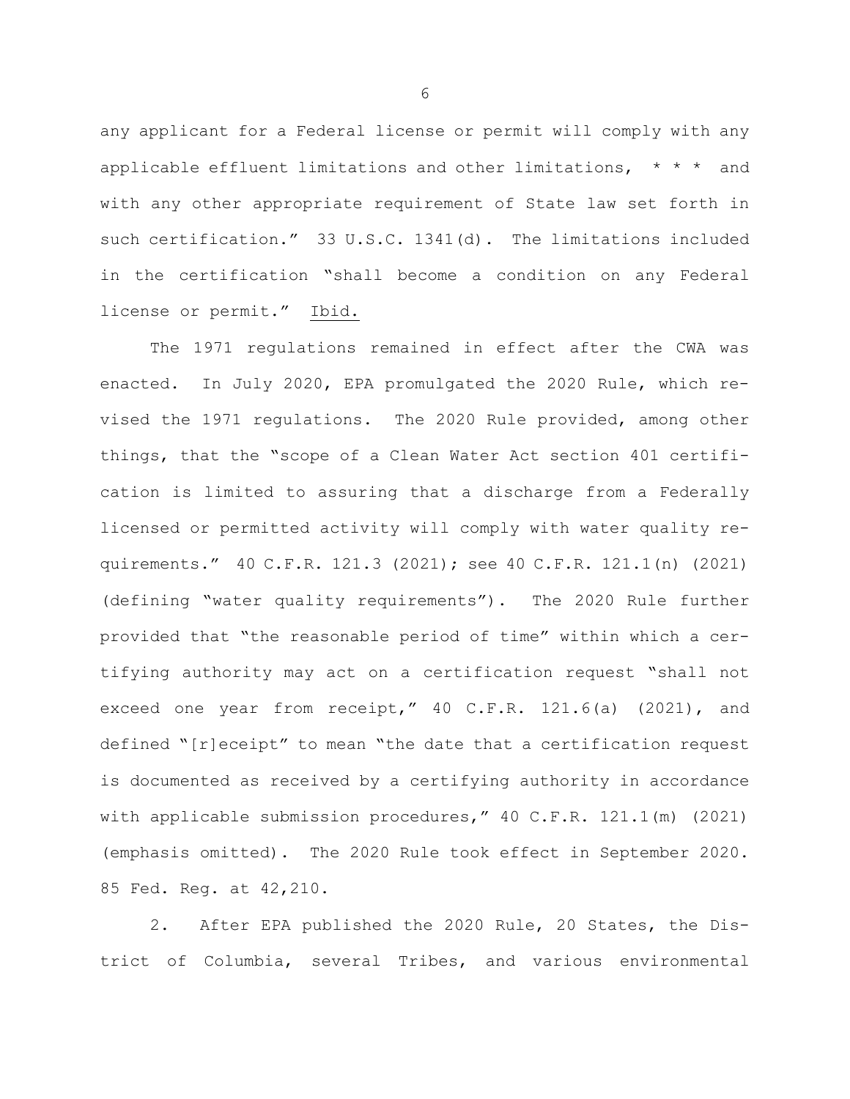any applicant for a Federal license or permit will comply with any applicable effluent limitations and other limitations,  $* * *$  and with any other appropriate requirement of State law set forth in such certification." 33 U.S.C. 1341(d). The limitations included in the certification "shall become a condition on any Federal license or permit." Ibid.

The 1971 regulations remained in effect after the CWA was enacted. In July 2020, EPA promulgated the 2020 Rule, which revised the 1971 regulations. The 2020 Rule provided, among other things, that the "scope of a Clean Water Act section 401 certification is limited to assuring that a discharge from a Federally licensed or permitted activity will comply with water quality requirements." 40 C.F.R. 121.3 (2021); see 40 C.F.R. 121.1(n) (2021) (defining "water quality requirements"). The 2020 Rule further provided that "the reasonable period of time" within which a certifying authority may act on a certification request "shall not exceed one year from receipt," 40 C.F.R. 121.6(a) (2021), and defined "[r]eceipt" to mean "the date that a certification request is documented as received by a certifying authority in accordance with applicable submission procedures," 40 C.F.R. 121.1(m) (2021) (emphasis omitted). The 2020 Rule took effect in September 2020. 85 Fed. Reg. at 42,210.

2. After EPA published the 2020 Rule, 20 States, the District of Columbia, several Tribes, and various environmental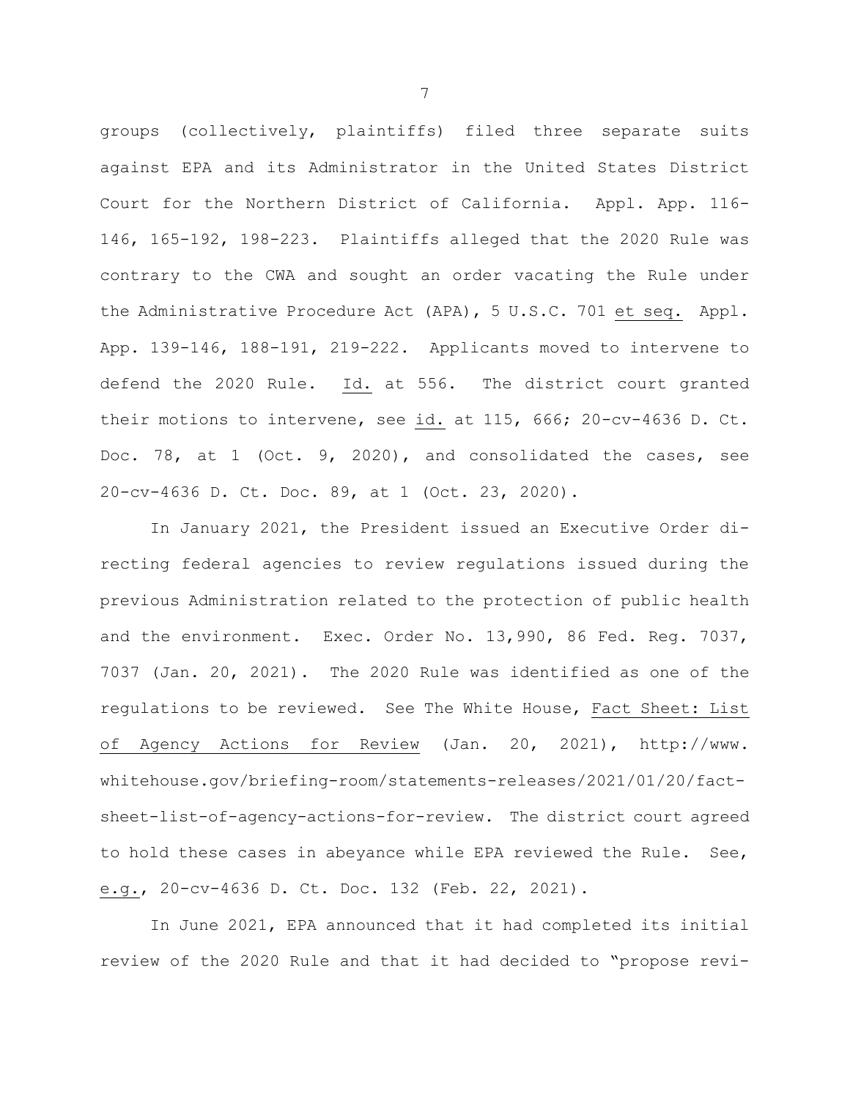groups (collectively, plaintiffs) filed three separate suits against EPA and its Administrator in the United States District Court for the Northern District of California. Appl. App. 116- 146, 165-192, 198-223. Plaintiffs alleged that the 2020 Rule was contrary to the CWA and sought an order vacating the Rule under the Administrative Procedure Act (APA), 5 U.S.C. 701 et seq. Appl. App. 139-146, 188-191, 219-222. Applicants moved to intervene to defend the 2020 Rule. Id. at 556. The district court granted their motions to intervene, see id. at 115, 666; 20-cv-4636 D. Ct. Doc. 78, at 1 (Oct. 9, 2020), and consolidated the cases, see 20-cv-4636 D. Ct. Doc. 89, at 1 (Oct. 23, 2020).

In January 2021, the President issued an Executive Order directing federal agencies to review regulations issued during the previous Administration related to the protection of public health and the environment. Exec. Order No. 13,990, 86 Fed. Reg. 7037, 7037 (Jan. 20, 2021). The 2020 Rule was identified as one of the regulations to be reviewed. See The White House, Fact Sheet: List of Agency Actions for Review (Jan. 20, 2021), http://www. whitehouse.gov/briefing-room/statements-releases/2021/01/20/factsheet-list-of-agency-actions-for-review. The district court agreed to hold these cases in abeyance while EPA reviewed the Rule. See, e.g., 20-cv-4636 D. Ct. Doc. 132 (Feb. 22, 2021).

In June 2021, EPA announced that it had completed its initial review of the 2020 Rule and that it had decided to "propose revi-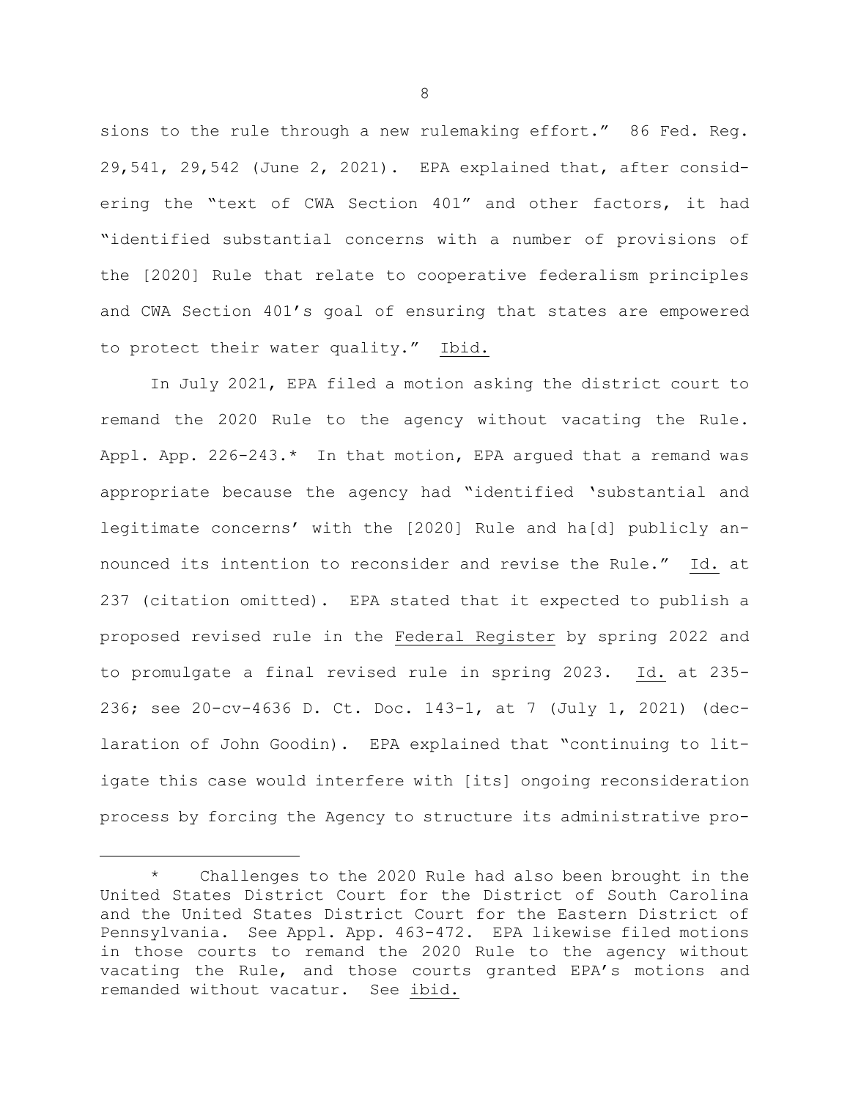sions to the rule through a new rulemaking effort." 86 Fed. Reg. 29,541, 29,542 (June 2, 2021). EPA explained that, after considering the "text of CWA Section 401" and other factors, it had "identified substantial concerns with a number of provisions of the [2020] Rule that relate to cooperative federalism principles and CWA Section 401's goal of ensuring that states are empowered to protect their water quality." Ibid.

In July 2021, EPA filed a motion asking the district court to remand the 2020 Rule to the agency without vacating the Rule. Appl. App. 226-243.\* In that motion, EPA argued that a remand was appropriate because the agency had "identified 'substantial and legitimate concerns' with the [2020] Rule and ha[d] publicly announced its intention to reconsider and revise the Rule." Id. at 237 (citation omitted). EPA stated that it expected to publish a proposed revised rule in the Federal Register by spring 2022 and to promulgate a final revised rule in spring 2023. Id. at 235- 236; see 20-cv-4636 D. Ct. Doc. 143-1, at 7 (July 1, 2021) (declaration of John Goodin). EPA explained that "continuing to litigate this case would interfere with [its] ongoing reconsideration process by forcing the Agency to structure its administrative pro-

<sup>\*</sup> Challenges to the 2020 Rule had also been brought in the United States District Court for the District of South Carolina and the United States District Court for the Eastern District of Pennsylvania. See Appl. App. 463-472. EPA likewise filed motions in those courts to remand the 2020 Rule to the agency without vacating the Rule, and those courts granted EPA's motions and remanded without vacatur. See ibid.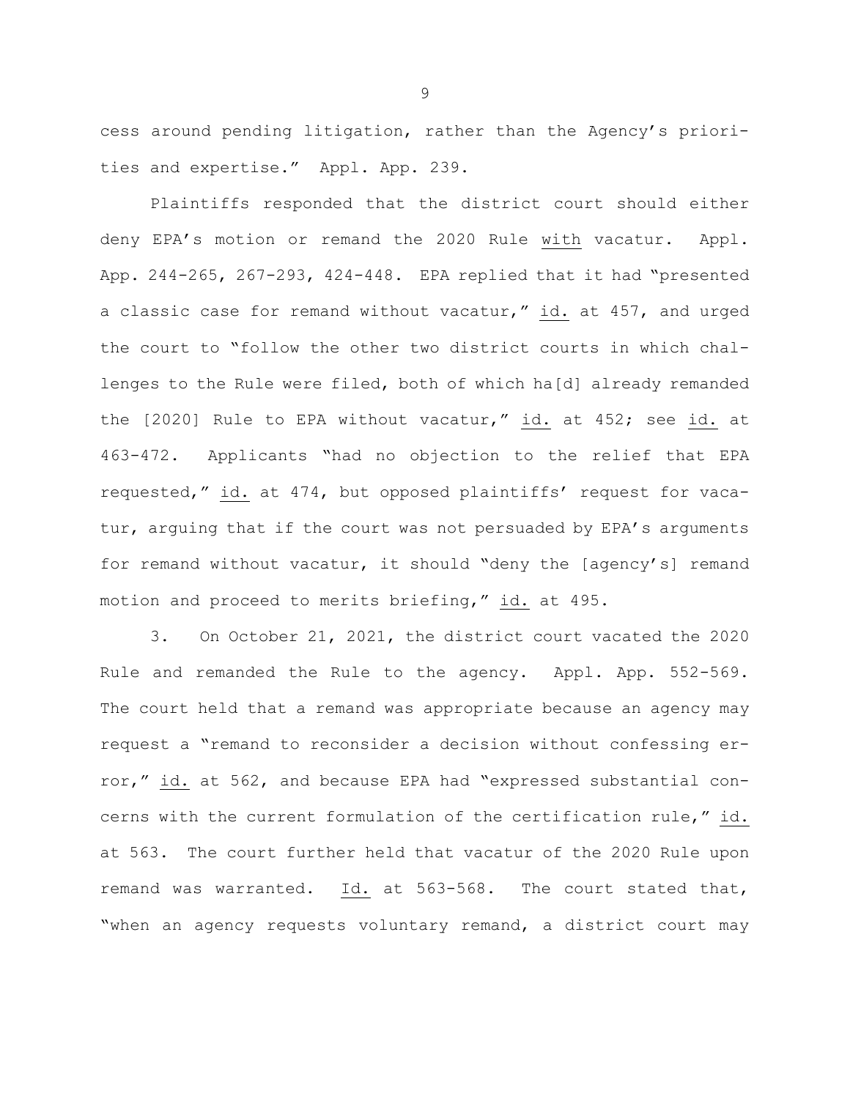cess around pending litigation, rather than the Agency's priorities and expertise." Appl. App. 239.

Plaintiffs responded that the district court should either deny EPA's motion or remand the 2020 Rule with vacatur. Appl. App. 244-265, 267-293, 424-448. EPA replied that it had "presented a classic case for remand without vacatur," id. at 457, and urged the court to "follow the other two district courts in which challenges to the Rule were filed, both of which ha[d] already remanded the [2020] Rule to EPA without vacatur," id. at 452; see id. at 463-472. Applicants "had no objection to the relief that EPA requested," id. at 474, but opposed plaintiffs' request for vacatur, arguing that if the court was not persuaded by EPA's arguments for remand without vacatur, it should "deny the [agency's] remand motion and proceed to merits briefing," id. at 495.

3. On October 21, 2021, the district court vacated the 2020 Rule and remanded the Rule to the agency. Appl. App. 552-569. The court held that a remand was appropriate because an agency may request a "remand to reconsider a decision without confessing error," id. at 562, and because EPA had "expressed substantial concerns with the current formulation of the certification rule," id. at 563. The court further held that vacatur of the 2020 Rule upon remand was warranted. Id. at 563-568. The court stated that, "when an agency requests voluntary remand, a district court may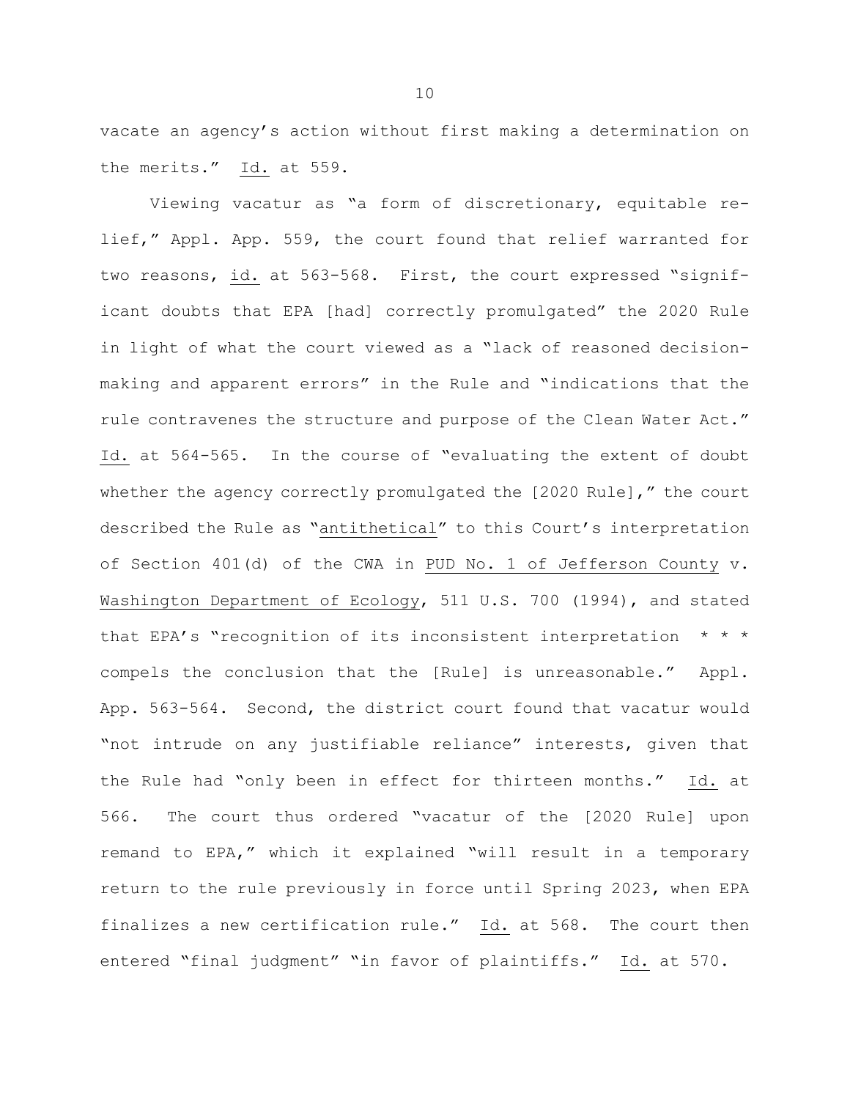vacate an agency's action without first making a determination on the merits." Id. at 559.

Viewing vacatur as "a form of discretionary, equitable relief," Appl. App. 559, the court found that relief warranted for two reasons, id. at 563-568. First, the court expressed "significant doubts that EPA [had] correctly promulgated" the 2020 Rule in light of what the court viewed as a "lack of reasoned decisionmaking and apparent errors" in the Rule and "indications that the rule contravenes the structure and purpose of the Clean Water Act." Id. at 564-565. In the course of "evaluating the extent of doubt whether the agency correctly promulgated the [2020 Rule]," the court described the Rule as "antithetical" to this Court's interpretation of Section 401(d) of the CWA in PUD No. 1 of Jefferson County v. Washington Department of Ecology, 511 U.S. 700 (1994), and stated that EPA's "recognition of its inconsistent interpretation \* \* \* compels the conclusion that the [Rule] is unreasonable." Appl. App. 563-564. Second, the district court found that vacatur would "not intrude on any justifiable reliance" interests, given that the Rule had "only been in effect for thirteen months." Id. at 566. The court thus ordered "vacatur of the [2020 Rule] upon remand to EPA," which it explained "will result in a temporary return to the rule previously in force until Spring 2023, when EPA finalizes a new certification rule." Id. at 568. The court then entered "final judgment" "in favor of plaintiffs." Id. at 570.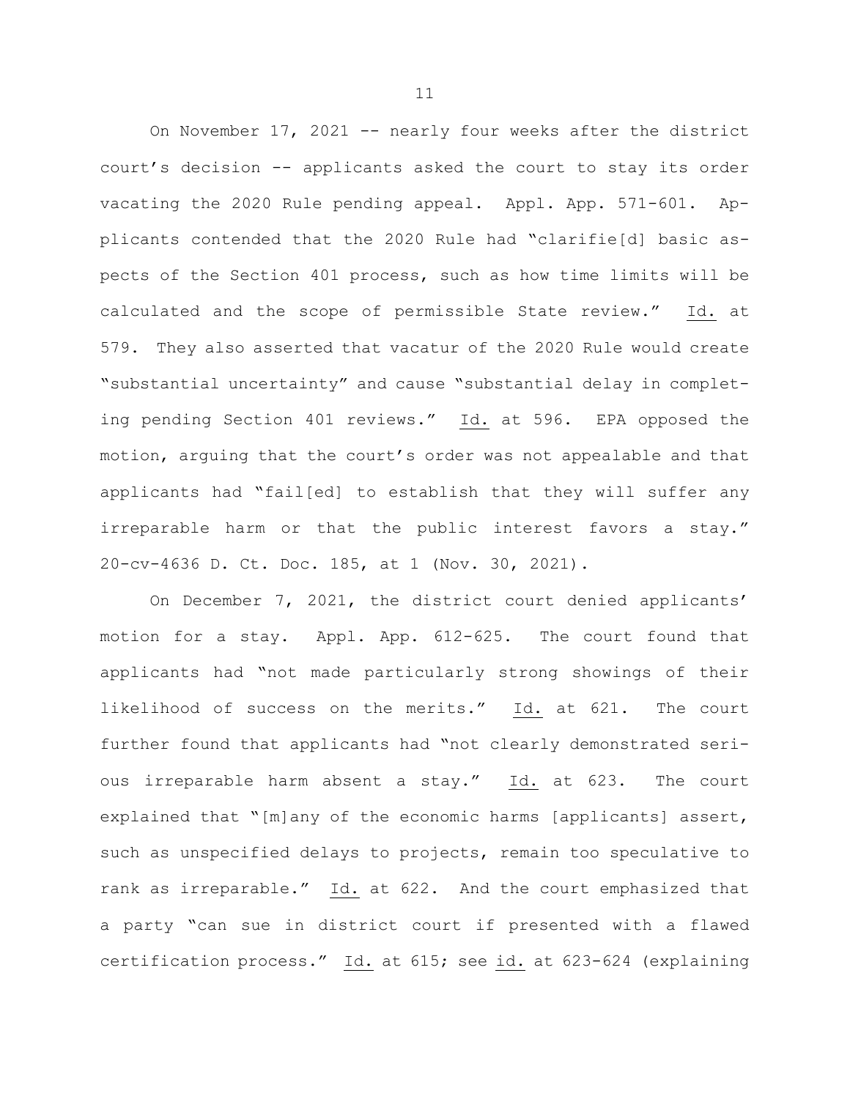On November 17, 2021 -- nearly four weeks after the district court's decision -- applicants asked the court to stay its order vacating the 2020 Rule pending appeal. Appl. App. 571-601. Applicants contended that the 2020 Rule had "clarifie[d] basic aspects of the Section 401 process, such as how time limits will be calculated and the scope of permissible State review." Id. at 579. They also asserted that vacatur of the 2020 Rule would create "substantial uncertainty" and cause "substantial delay in completing pending Section 401 reviews." Id. at 596. EPA opposed the motion, arguing that the court's order was not appealable and that applicants had "fail[ed] to establish that they will suffer any irreparable harm or that the public interest favors a stay." 20-cv-4636 D. Ct. Doc. 185, at 1 (Nov. 30, 2021).

On December 7, 2021, the district court denied applicants' motion for a stay. Appl. App. 612-625. The court found that applicants had "not made particularly strong showings of their likelihood of success on the merits." Id. at 621. The court further found that applicants had "not clearly demonstrated serious irreparable harm absent a stay." Id. at 623. The court explained that "[m]any of the economic harms [applicants] assert, such as unspecified delays to projects, remain too speculative to rank as irreparable." Id. at 622. And the court emphasized that a party "can sue in district court if presented with a flawed certification process." Id. at 615; see id. at 623-624 (explaining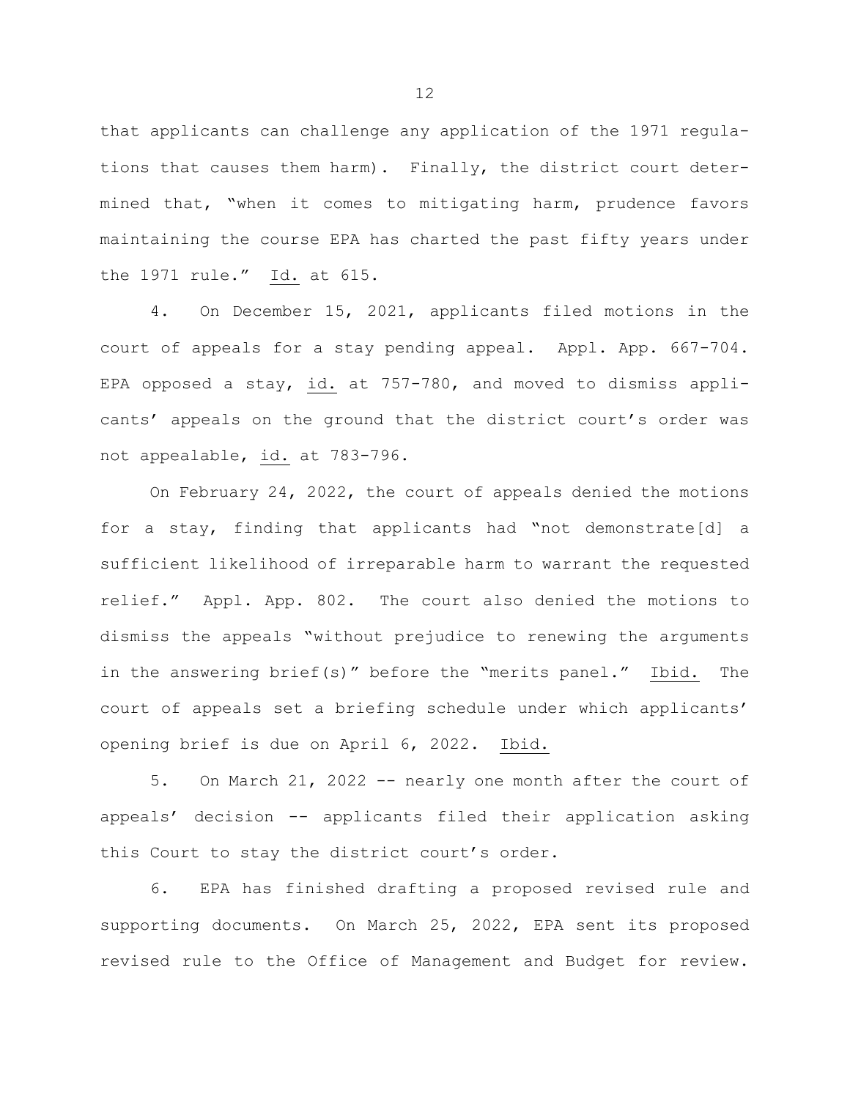that applicants can challenge any application of the 1971 regulations that causes them harm). Finally, the district court determined that, "when it comes to mitigating harm, prudence favors maintaining the course EPA has charted the past fifty years under the 1971 rule." Id. at 615.

4. On December 15, 2021, applicants filed motions in the court of appeals for a stay pending appeal. Appl. App. 667-704. EPA opposed a stay, id. at 757-780, and moved to dismiss applicants' appeals on the ground that the district court's order was not appealable, id. at 783-796.

On February 24, 2022, the court of appeals denied the motions for a stay, finding that applicants had "not demonstrate[d] a sufficient likelihood of irreparable harm to warrant the requested relief." Appl. App. 802. The court also denied the motions to dismiss the appeals "without prejudice to renewing the arguments in the answering brief(s)" before the "merits panel." Ibid. The court of appeals set a briefing schedule under which applicants' opening brief is due on April 6, 2022. Ibid.

5. On March 21, 2022 -- nearly one month after the court of appeals' decision -- applicants filed their application asking this Court to stay the district court's order.

6. EPA has finished drafting a proposed revised rule and supporting documents. On March 25, 2022, EPA sent its proposed revised rule to the Office of Management and Budget for review.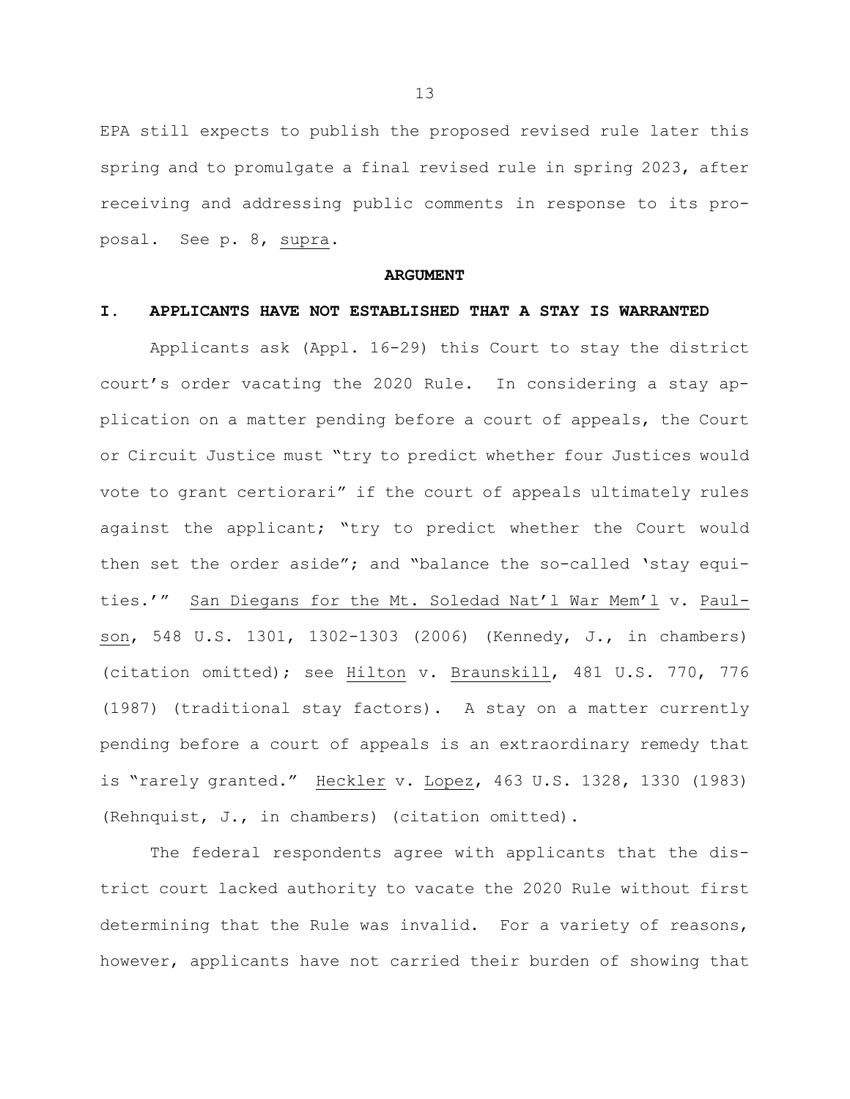EPA still expects to publish the proposed revised rule later this spring and to promulgate a final revised rule in spring 2023, after receiving and addressing public comments in response to its proposal. See p. 8, supra.

#### **ARGUMENT**

#### **I. APPLICANTS HAVE NOT ESTABLISHED THAT A STAY IS WARRANTED**

Applicants ask (Appl. 16-29) this Court to stay the district court's order vacating the 2020 Rule. In considering a stay application on a matter pending before a court of appeals, the Court or Circuit Justice must "try to predict whether four Justices would vote to grant certiorari" if the court of appeals ultimately rules against the applicant; "try to predict whether the Court would then set the order aside"; and "balance the so-called 'stay equities.'" San Diegans for the Mt. Soledad Nat'l War Mem'l v. Paulson, 548 U.S. 1301, 1302-1303 (2006) (Kennedy, J., in chambers) (citation omitted); see Hilton v. Braunskill, 481 U.S. 770, 776 (1987) (traditional stay factors). A stay on a matter currently pending before a court of appeals is an extraordinary remedy that is "rarely granted." Heckler v. Lopez, 463 U.S. 1328, 1330 (1983) (Rehnquist, J., in chambers) (citation omitted).

The federal respondents agree with applicants that the district court lacked authority to vacate the 2020 Rule without first determining that the Rule was invalid. For a variety of reasons, however, applicants have not carried their burden of showing that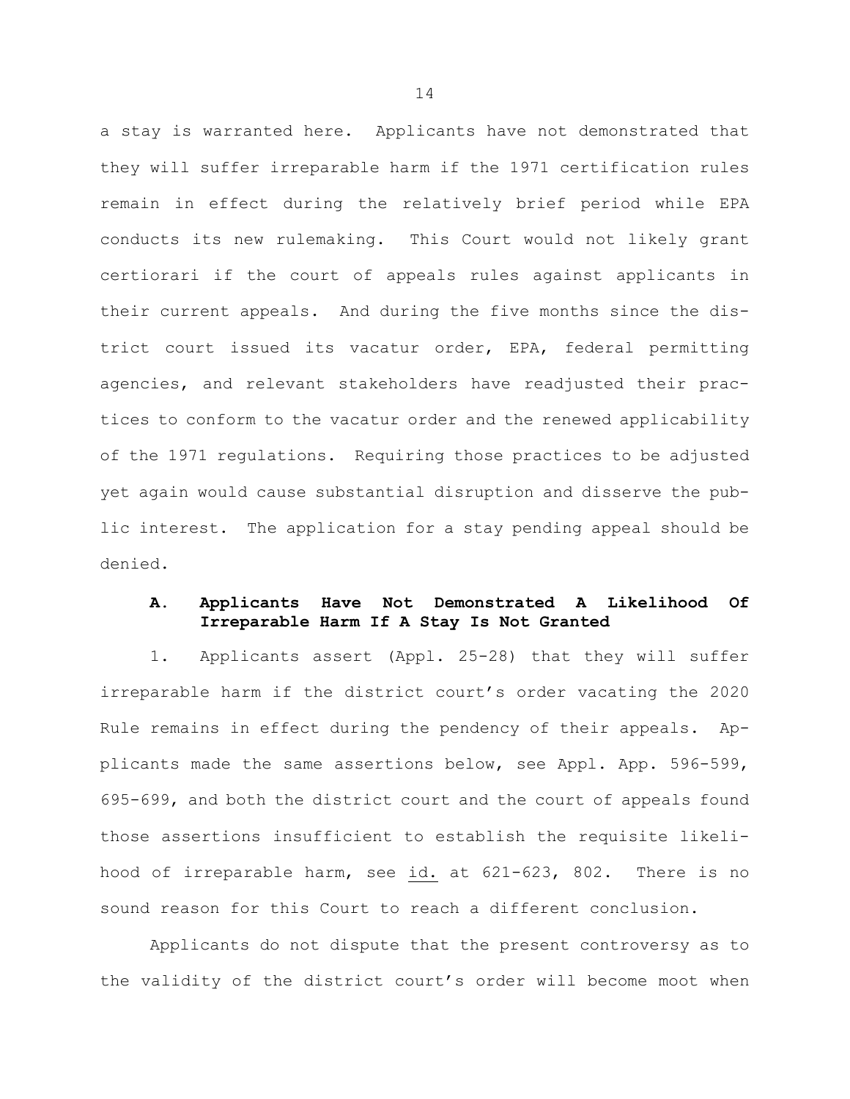a stay is warranted here. Applicants have not demonstrated that they will suffer irreparable harm if the 1971 certification rules remain in effect during the relatively brief period while EPA conducts its new rulemaking. This Court would not likely grant certiorari if the court of appeals rules against applicants in their current appeals. And during the five months since the district court issued its vacatur order, EPA, federal permitting agencies, and relevant stakeholders have readjusted their practices to conform to the vacatur order and the renewed applicability of the 1971 regulations. Requiring those practices to be adjusted yet again would cause substantial disruption and disserve the public interest. The application for a stay pending appeal should be denied.

## **A. Applicants Have Not Demonstrated A Likelihood Of Irreparable Harm If A Stay Is Not Granted**

1. Applicants assert (Appl. 25-28) that they will suffer irreparable harm if the district court's order vacating the 2020 Rule remains in effect during the pendency of their appeals. Applicants made the same assertions below, see Appl. App. 596-599, 695-699, and both the district court and the court of appeals found those assertions insufficient to establish the requisite likelihood of irreparable harm, see id. at 621-623, 802. There is no sound reason for this Court to reach a different conclusion.

Applicants do not dispute that the present controversy as to the validity of the district court's order will become moot when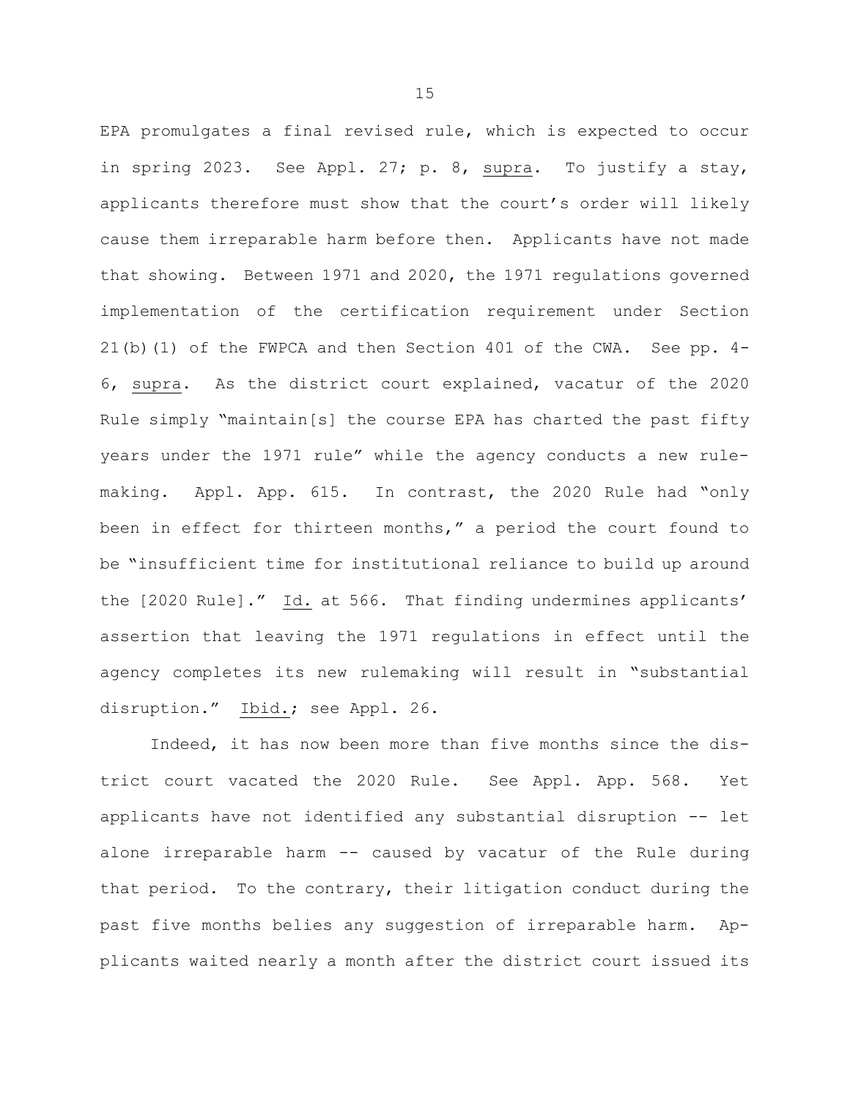EPA promulgates a final revised rule, which is expected to occur in spring 2023. See Appl. 27; p. 8, supra. To justify a stay, applicants therefore must show that the court's order will likely cause them irreparable harm before then. Applicants have not made that showing. Between 1971 and 2020, the 1971 regulations governed implementation of the certification requirement under Section 21(b)(1) of the FWPCA and then Section 401 of the CWA. See pp. 4- 6, supra. As the district court explained, vacatur of the 2020 Rule simply "maintain[s] the course EPA has charted the past fifty years under the 1971 rule" while the agency conducts a new rulemaking. Appl. App. 615. In contrast, the 2020 Rule had "only been in effect for thirteen months," a period the court found to be "insufficient time for institutional reliance to build up around the [2020 Rule]." Id. at 566. That finding undermines applicants' assertion that leaving the 1971 regulations in effect until the agency completes its new rulemaking will result in "substantial disruption." Ibid.; see Appl. 26.

Indeed, it has now been more than five months since the district court vacated the 2020 Rule. See Appl. App. 568. Yet applicants have not identified any substantial disruption -- let alone irreparable harm -- caused by vacatur of the Rule during that period. To the contrary, their litigation conduct during the past five months belies any suggestion of irreparable harm. Applicants waited nearly a month after the district court issued its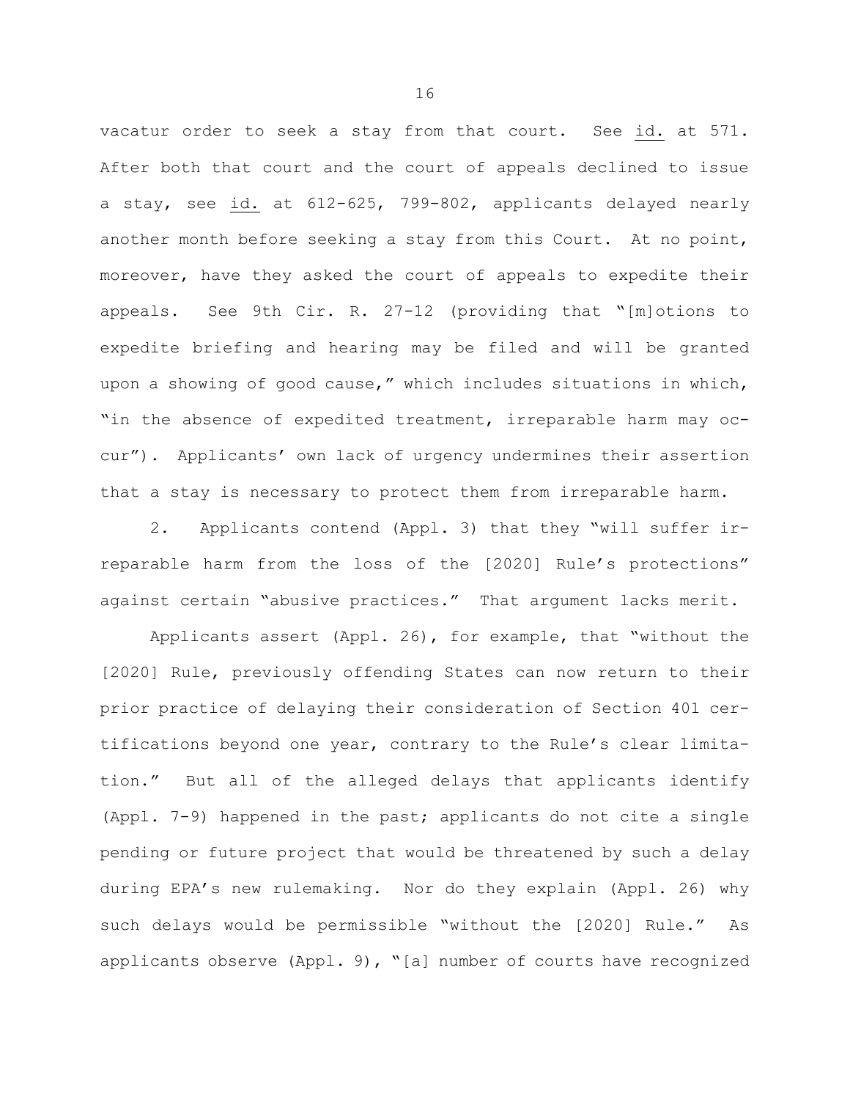vacatur order to seek a stay from that court. See id. at 571. After both that court and the court of appeals declined to issue a stay, see id. at 612-625, 799-802, applicants delayed nearly another month before seeking a stay from this Court. At no point, moreover, have they asked the court of appeals to expedite their appeals. See 9th Cir. R. 27-12 (providing that "[m]otions to expedite briefing and hearing may be filed and will be granted upon a showing of good cause," which includes situations in which, "in the absence of expedited treatment, irreparable harm may occur"). Applicants' own lack of urgency undermines their assertion that a stay is necessary to protect them from irreparable harm.

2. Applicants contend (Appl. 3) that they "will suffer irreparable harm from the loss of the [2020] Rule's protections" against certain "abusive practices." That argument lacks merit.

Applicants assert (Appl. 26), for example, that "without the [2020] Rule, previously offending States can now return to their prior practice of delaying their consideration of Section 401 certifications beyond one year, contrary to the Rule's clear limitation." But all of the alleged delays that applicants identify (Appl. 7-9) happened in the past; applicants do not cite a single pending or future project that would be threatened by such a delay during EPA's new rulemaking. Nor do they explain (Appl. 26) why such delays would be permissible "without the [2020] Rule." As applicants observe (Appl. 9), "[a] number of courts have recognized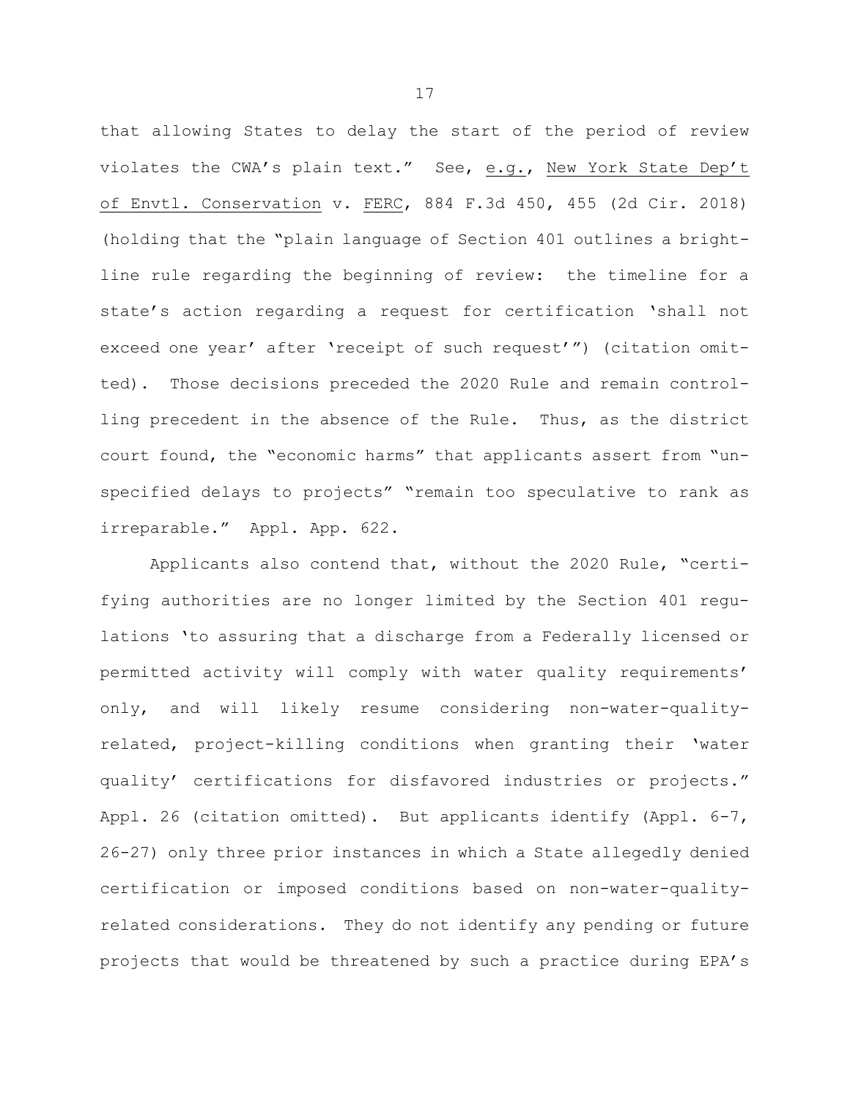that allowing States to delay the start of the period of review violates the CWA's plain text." See, e.g., New York State Dep't of Envtl. Conservation v. FERC, 884 F.3d 450, 455 (2d Cir. 2018) (holding that the "plain language of Section 401 outlines a brightline rule regarding the beginning of review: the timeline for a state's action regarding a request for certification 'shall not exceed one year' after 'receipt of such request'") (citation omitted). Those decisions preceded the 2020 Rule and remain controlling precedent in the absence of the Rule. Thus, as the district court found, the "economic harms" that applicants assert from "unspecified delays to projects" "remain too speculative to rank as irreparable." Appl. App. 622.

Applicants also contend that, without the 2020 Rule, "certifying authorities are no longer limited by the Section 401 regulations 'to assuring that a discharge from a Federally licensed or permitted activity will comply with water quality requirements' only, and will likely resume considering non-water-qualityrelated, project-killing conditions when granting their 'water quality' certifications for disfavored industries or projects." Appl. 26 (citation omitted). But applicants identify (Appl. 6-7, 26-27) only three prior instances in which a State allegedly denied certification or imposed conditions based on non-water-qualityrelated considerations. They do not identify any pending or future projects that would be threatened by such a practice during EPA's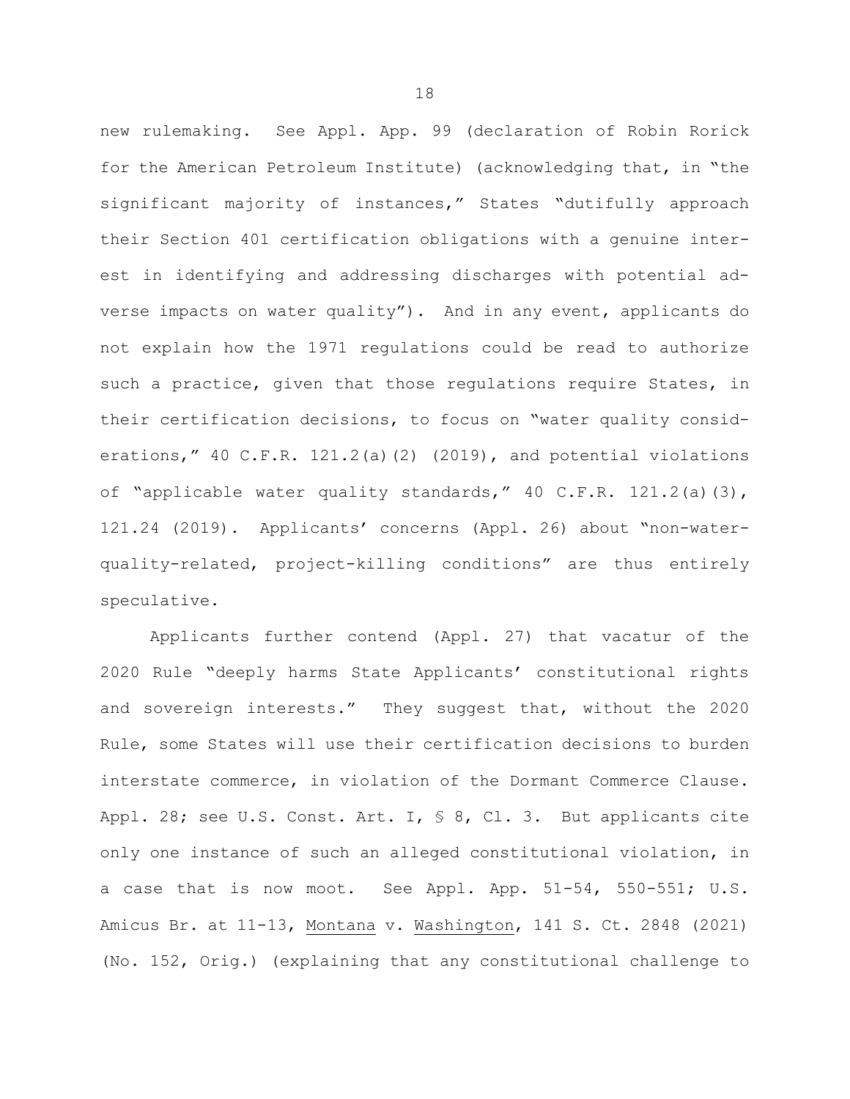new rulemaking. See Appl. App. 99 (declaration of Robin Rorick for the American Petroleum Institute) (acknowledging that, in "the significant majority of instances," States "dutifully approach their Section 401 certification obligations with a genuine interest in identifying and addressing discharges with potential adverse impacts on water quality"). And in any event, applicants do not explain how the 1971 regulations could be read to authorize such a practice, given that those regulations require States, in their certification decisions, to focus on "water quality considerations," 40 C.F.R. 121.2(a)(2) (2019), and potential violations of "applicable water quality standards," 40 C.F.R. 121.2(a)(3), 121.24 (2019). Applicants' concerns (Appl. 26) about "non-waterquality-related, project-killing conditions" are thus entirely speculative.

Applicants further contend (Appl. 27) that vacatur of the 2020 Rule "deeply harms State Applicants' constitutional rights and sovereign interests." They suggest that, without the 2020 Rule, some States will use their certification decisions to burden interstate commerce, in violation of the Dormant Commerce Clause. Appl. 28; see U.S. Const. Art. I, § 8, Cl. 3. But applicants cite only one instance of such an alleged constitutional violation, in a case that is now moot. See Appl. App. 51-54, 550-551; U.S. Amicus Br. at 11-13, Montana v. Washington, 141 S. Ct. 2848 (2021) (No. 152, Orig.) (explaining that any constitutional challenge to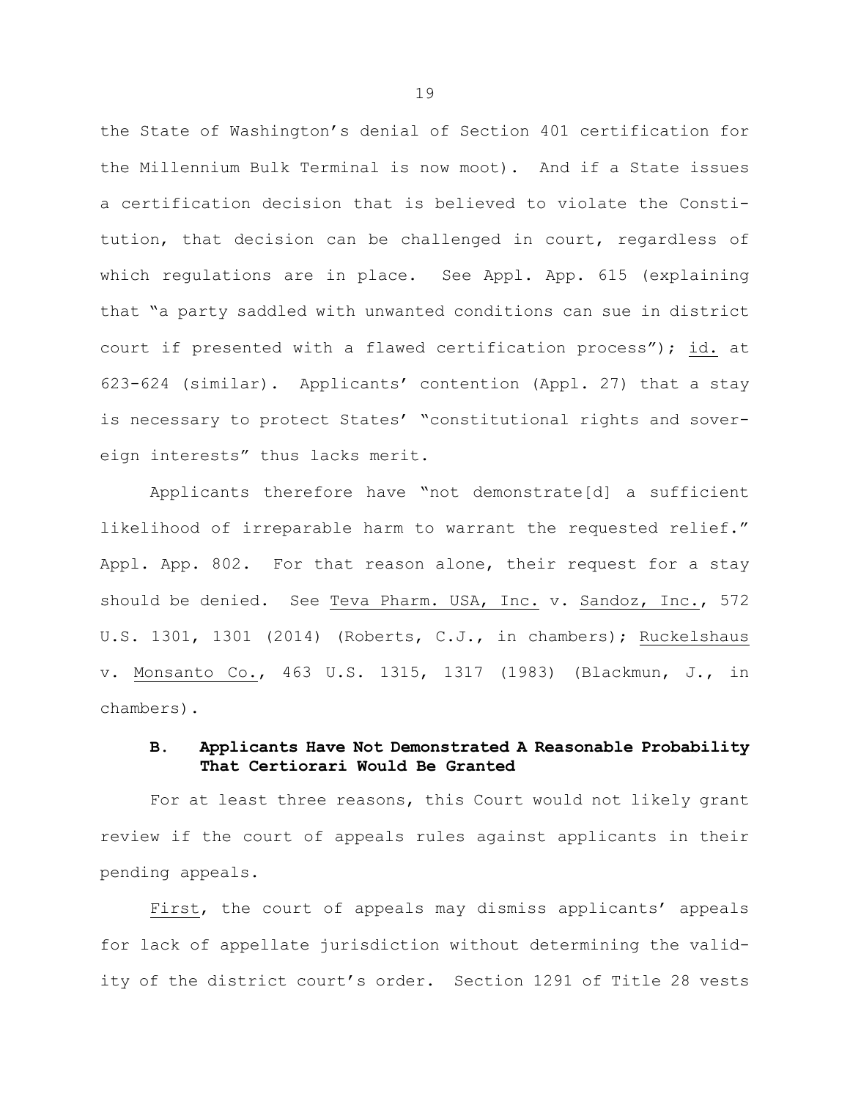the State of Washington's denial of Section 401 certification for the Millennium Bulk Terminal is now moot). And if a State issues a certification decision that is believed to violate the Constitution, that decision can be challenged in court, regardless of which regulations are in place. See Appl. App. 615 (explaining that "a party saddled with unwanted conditions can sue in district court if presented with a flawed certification process"); id. at 623-624 (similar). Applicants' contention (Appl. 27) that a stay is necessary to protect States' "constitutional rights and sovereign interests" thus lacks merit.

Applicants therefore have "not demonstrate[d] a sufficient likelihood of irreparable harm to warrant the requested relief." Appl. App. 802. For that reason alone, their request for a stay should be denied. See Teva Pharm. USA, Inc. v. Sandoz, Inc., 572 U.S. 1301, 1301 (2014) (Roberts, C.J., in chambers); Ruckelshaus v. Monsanto Co., 463 U.S. 1315, 1317 (1983) (Blackmun, J., in chambers).

## **B. Applicants Have Not Demonstrated A Reasonable Probability That Certiorari Would Be Granted**

For at least three reasons, this Court would not likely grant review if the court of appeals rules against applicants in their pending appeals.

First, the court of appeals may dismiss applicants' appeals for lack of appellate jurisdiction without determining the validity of the district court's order. Section 1291 of Title 28 vests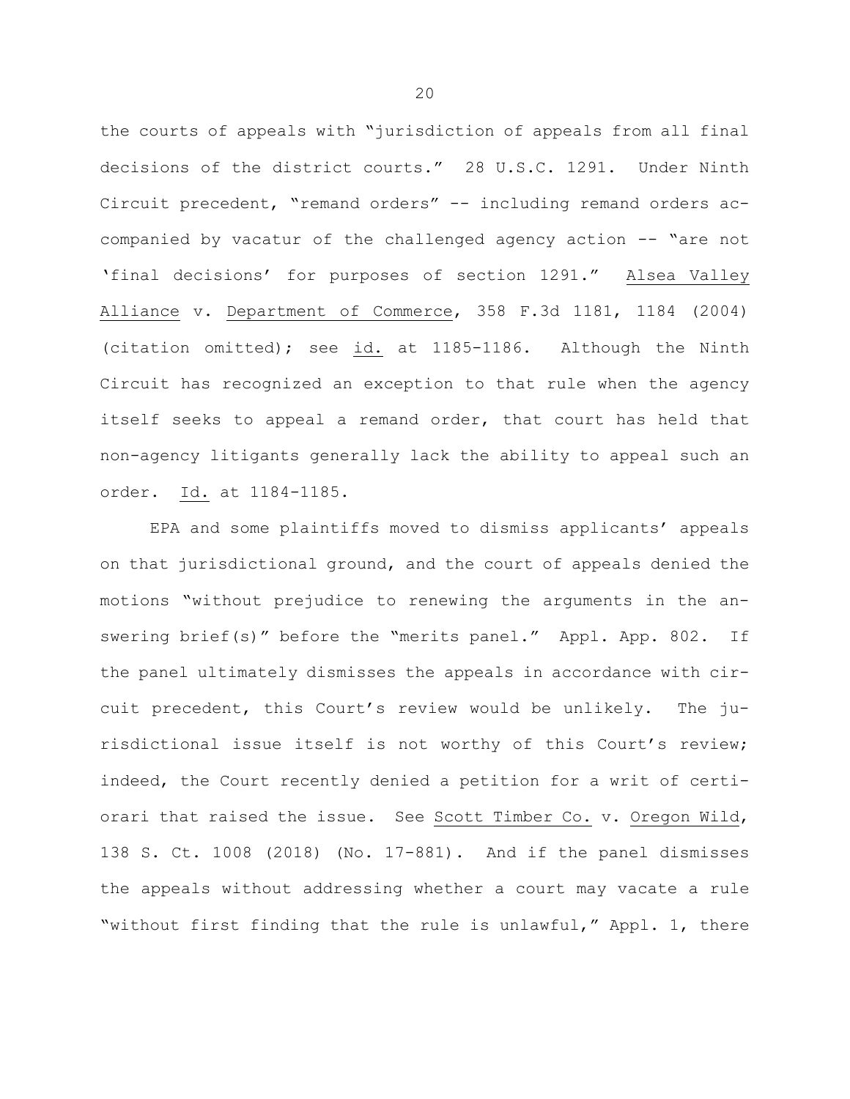the courts of appeals with "jurisdiction of appeals from all final decisions of the district courts." 28 U.S.C. 1291. Under Ninth Circuit precedent, "remand orders" -- including remand orders accompanied by vacatur of the challenged agency action -- "are not 'final decisions' for purposes of section 1291." Alsea Valley Alliance v. Department of Commerce, 358 F.3d 1181, 1184 (2004) (citation omitted); see  $id.$  at 1185-1186. Although the Ninth Circuit has recognized an exception to that rule when the agency itself seeks to appeal a remand order, that court has held that non-agency litigants generally lack the ability to appeal such an order. Id. at 1184-1185.

EPA and some plaintiffs moved to dismiss applicants' appeals on that jurisdictional ground, and the court of appeals denied the motions "without prejudice to renewing the arguments in the answering brief(s)" before the "merits panel." Appl. App. 802. If the panel ultimately dismisses the appeals in accordance with circuit precedent, this Court's review would be unlikely. The jurisdictional issue itself is not worthy of this Court's review; indeed, the Court recently denied a petition for a writ of certiorari that raised the issue. See Scott Timber Co. v. Oregon Wild, 138 S. Ct. 1008 (2018) (No. 17-881). And if the panel dismisses the appeals without addressing whether a court may vacate a rule "without first finding that the rule is unlawful," Appl. 1, there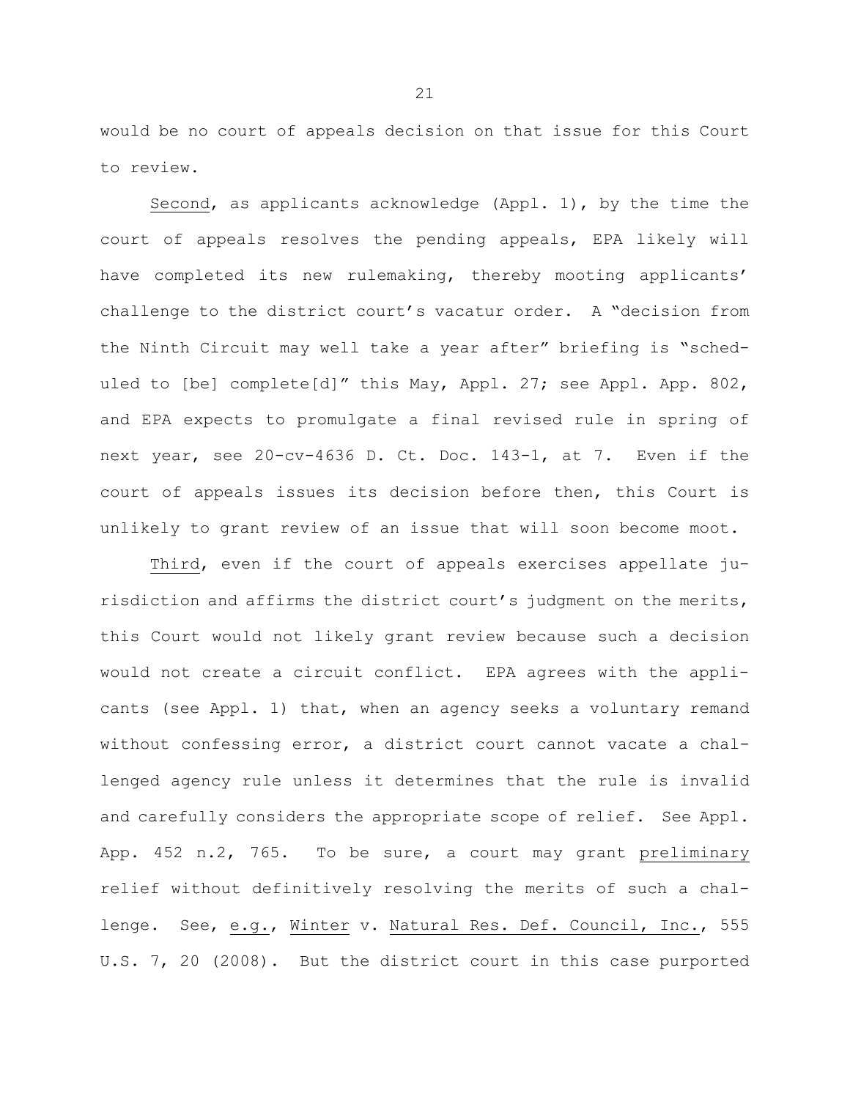would be no court of appeals decision on that issue for this Court to review.

Second, as applicants acknowledge (Appl. 1), by the time the court of appeals resolves the pending appeals, EPA likely will have completed its new rulemaking, thereby mooting applicants' challenge to the district court's vacatur order. A "decision from the Ninth Circuit may well take a year after" briefing is "scheduled to [be] complete[d]" this May, Appl. 27; see Appl. App. 802, and EPA expects to promulgate a final revised rule in spring of next year, see 20-cv-4636 D. Ct. Doc. 143-1, at 7. Even if the court of appeals issues its decision before then, this Court is unlikely to grant review of an issue that will soon become moot.

Third, even if the court of appeals exercises appellate jurisdiction and affirms the district court's judgment on the merits, this Court would not likely grant review because such a decision would not create a circuit conflict. EPA agrees with the applicants (see Appl. 1) that, when an agency seeks a voluntary remand without confessing error, a district court cannot vacate a challenged agency rule unless it determines that the rule is invalid and carefully considers the appropriate scope of relief. See Appl. App. 452 n.2, 765. To be sure, a court may grant preliminary relief without definitively resolving the merits of such a challenge. See, e.g., Winter v. Natural Res. Def. Council, Inc., 555 U.S. 7, 20 (2008). But the district court in this case purported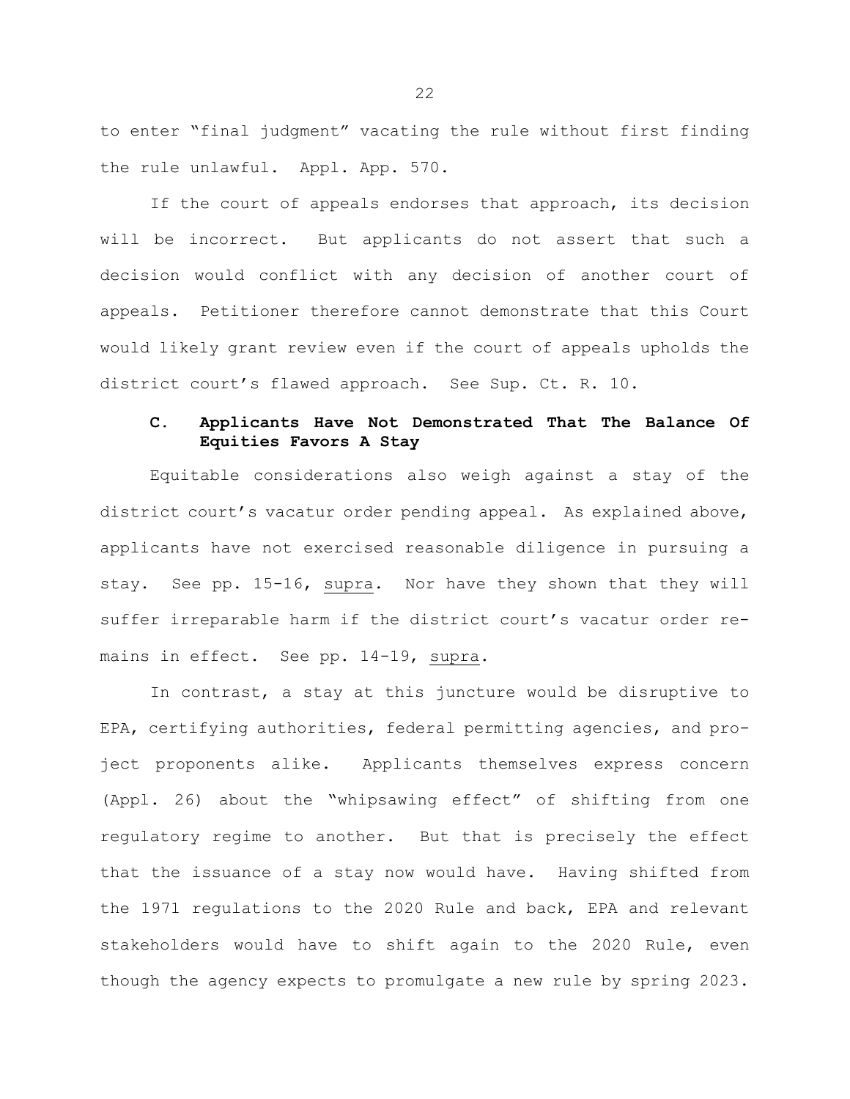to enter "final judgment" vacating the rule without first finding the rule unlawful. Appl. App. 570.

If the court of appeals endorses that approach, its decision will be incorrect. But applicants do not assert that such a decision would conflict with any decision of another court of appeals. Petitioner therefore cannot demonstrate that this Court would likely grant review even if the court of appeals upholds the district court's flawed approach. See Sup. Ct. R. 10.

# **C. Applicants Have Not Demonstrated That The Balance Of Equities Favors A Stay**

Equitable considerations also weigh against a stay of the district court's vacatur order pending appeal. As explained above, applicants have not exercised reasonable diligence in pursuing a stay. See pp. 15-16, supra. Nor have they shown that they will suffer irreparable harm if the district court's vacatur order remains in effect. See pp. 14-19, supra.

In contrast, a stay at this juncture would be disruptive to EPA, certifying authorities, federal permitting agencies, and project proponents alike. Applicants themselves express concern (Appl. 26) about the "whipsawing effect" of shifting from one regulatory regime to another. But that is precisely the effect that the issuance of a stay now would have. Having shifted from the 1971 regulations to the 2020 Rule and back, EPA and relevant stakeholders would have to shift again to the 2020 Rule, even though the agency expects to promulgate a new rule by spring 2023.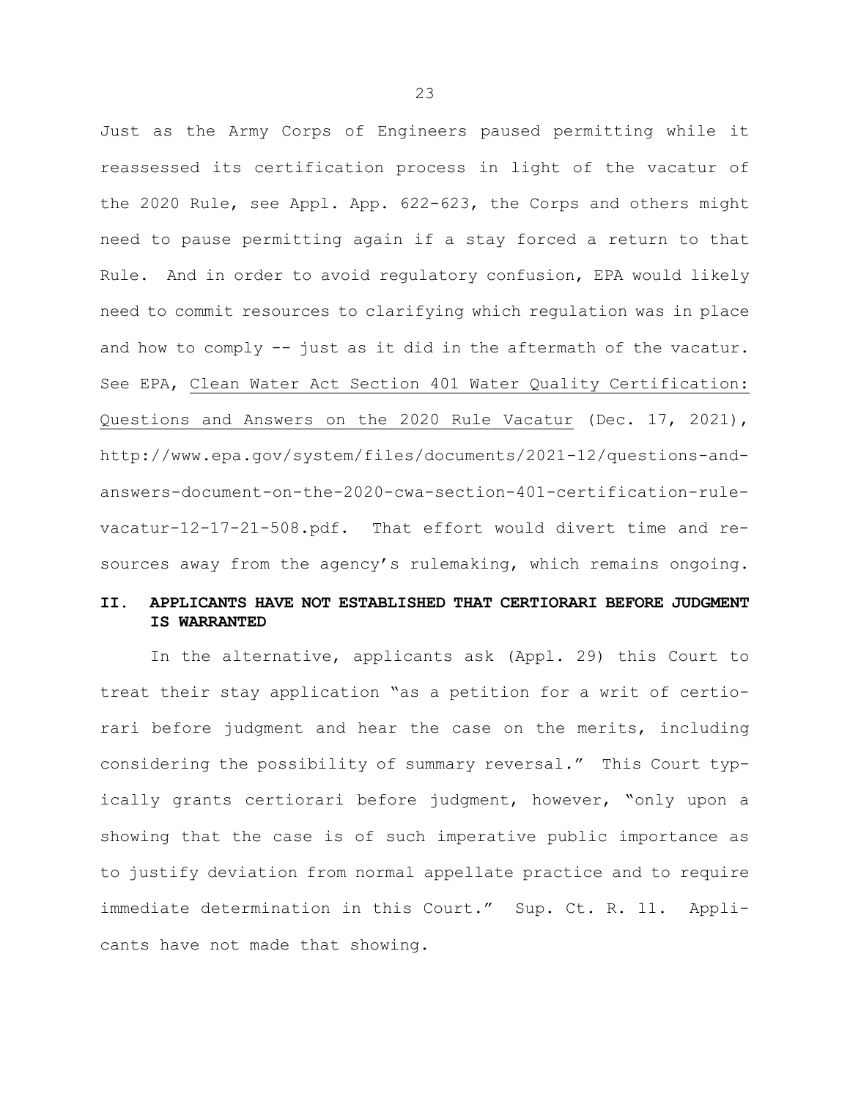Just as the Army Corps of Engineers paused permitting while it reassessed its certification process in light of the vacatur of the 2020 Rule, see Appl. App. 622-623, the Corps and others might need to pause permitting again if a stay forced a return to that Rule. And in order to avoid regulatory confusion, EPA would likely need to commit resources to clarifying which regulation was in place and how to comply -- just as it did in the aftermath of the vacatur. See EPA, Clean Water Act Section 401 Water Quality Certification: Questions and Answers on the 2020 Rule Vacatur (Dec. 17, 2021), http://www.epa.gov/system/files/documents/2021-12/questions-andanswers-document-on-the-2020-cwa-section-401-certification-rulevacatur-12-17-21-508.pdf. That effort would divert time and resources away from the agency's rulemaking, which remains ongoing.

# **II. APPLICANTS HAVE NOT ESTABLISHED THAT CERTIORARI BEFORE JUDGMENT IS WARRANTED**

In the alternative, applicants ask (Appl. 29) this Court to treat their stay application "as a petition for a writ of certiorari before judgment and hear the case on the merits, including considering the possibility of summary reversal." This Court typically grants certiorari before judgment, however, "only upon a showing that the case is of such imperative public importance as to justify deviation from normal appellate practice and to require immediate determination in this Court." Sup. Ct. R. 11. Applicants have not made that showing.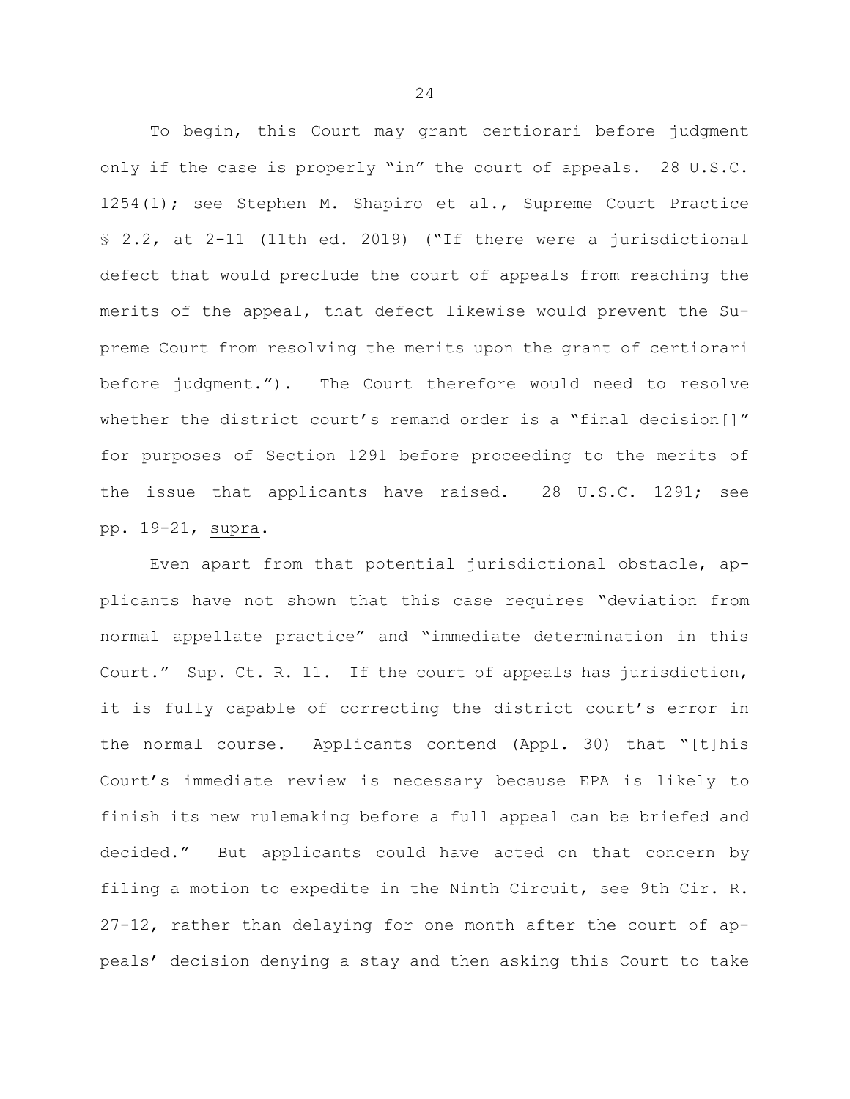To begin, this Court may grant certiorari before judgment only if the case is properly "in" the court of appeals. 28 U.S.C. 1254(1); see Stephen M. Shapiro et al., Supreme Court Practice § 2.2, at 2-11 (11th ed. 2019) ("If there were a jurisdictional defect that would preclude the court of appeals from reaching the merits of the appeal, that defect likewise would prevent the Supreme Court from resolving the merits upon the grant of certiorari before judgment."). The Court therefore would need to resolve whether the district court's remand order is a "final decision[]" for purposes of Section 1291 before proceeding to the merits of the issue that applicants have raised. 28 U.S.C. 1291; see pp. 19-21, supra.

Even apart from that potential jurisdictional obstacle, applicants have not shown that this case requires "deviation from normal appellate practice" and "immediate determination in this Court." Sup. Ct. R. 11. If the court of appeals has jurisdiction, it is fully capable of correcting the district court's error in the normal course. Applicants contend (Appl. 30) that "[t]his Court's immediate review is necessary because EPA is likely to finish its new rulemaking before a full appeal can be briefed and decided." But applicants could have acted on that concern by filing a motion to expedite in the Ninth Circuit, see 9th Cir. R. 27-12, rather than delaying for one month after the court of appeals' decision denying a stay and then asking this Court to take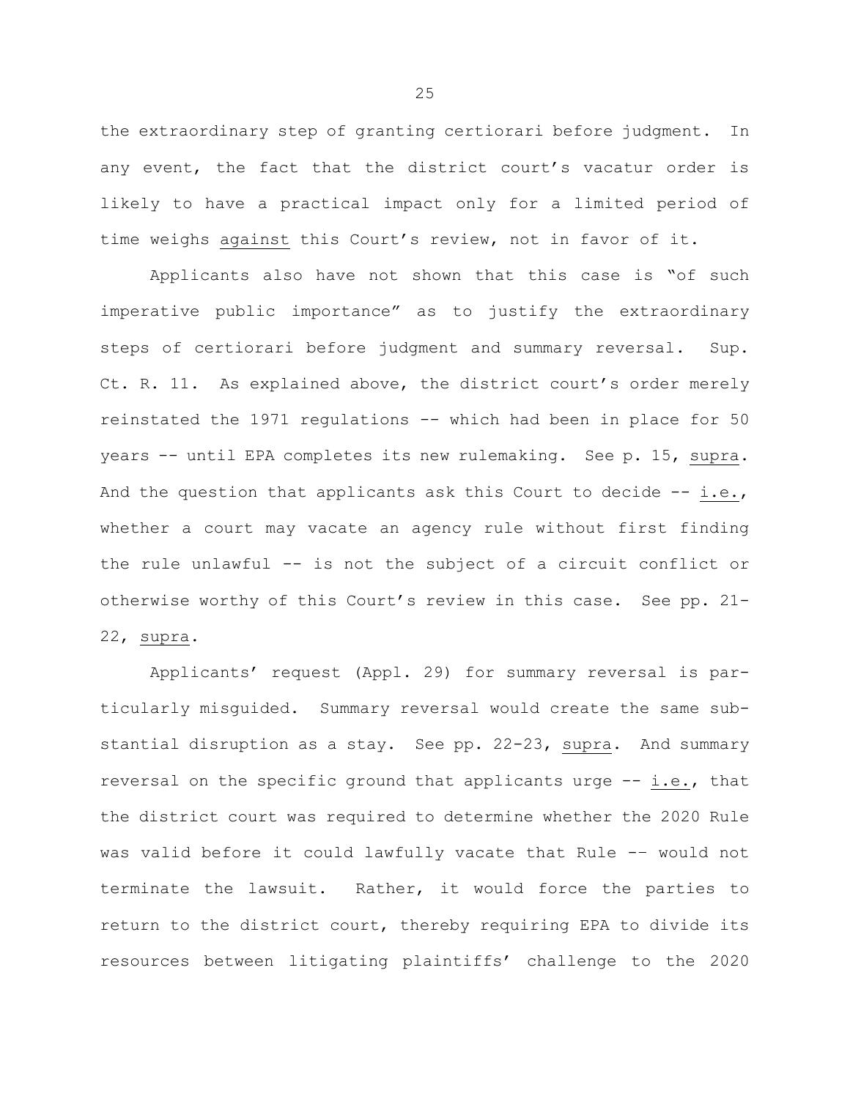the extraordinary step of granting certiorari before judgment. In any event, the fact that the district court's vacatur order is likely to have a practical impact only for a limited period of time weighs against this Court's review, not in favor of it.

Applicants also have not shown that this case is "of such imperative public importance" as to justify the extraordinary steps of certiorari before judgment and summary reversal. Sup. Ct. R. 11. As explained above, the district court's order merely reinstated the 1971 regulations -- which had been in place for 50 years -- until EPA completes its new rulemaking. See p. 15, supra. And the question that applicants ask this Court to decide  $- - i.e.,$ whether a court may vacate an agency rule without first finding the rule unlawful -- is not the subject of a circuit conflict or otherwise worthy of this Court's review in this case. See pp. 21- 22, supra.

Applicants' request (Appl. 29) for summary reversal is particularly misguided. Summary reversal would create the same substantial disruption as a stay. See pp. 22-23, supra. And summary reversal on the specific ground that applicants urge -- i.e., that the district court was required to determine whether the 2020 Rule was valid before it could lawfully vacate that Rule -– would not terminate the lawsuit. Rather, it would force the parties to return to the district court, thereby requiring EPA to divide its resources between litigating plaintiffs' challenge to the 2020